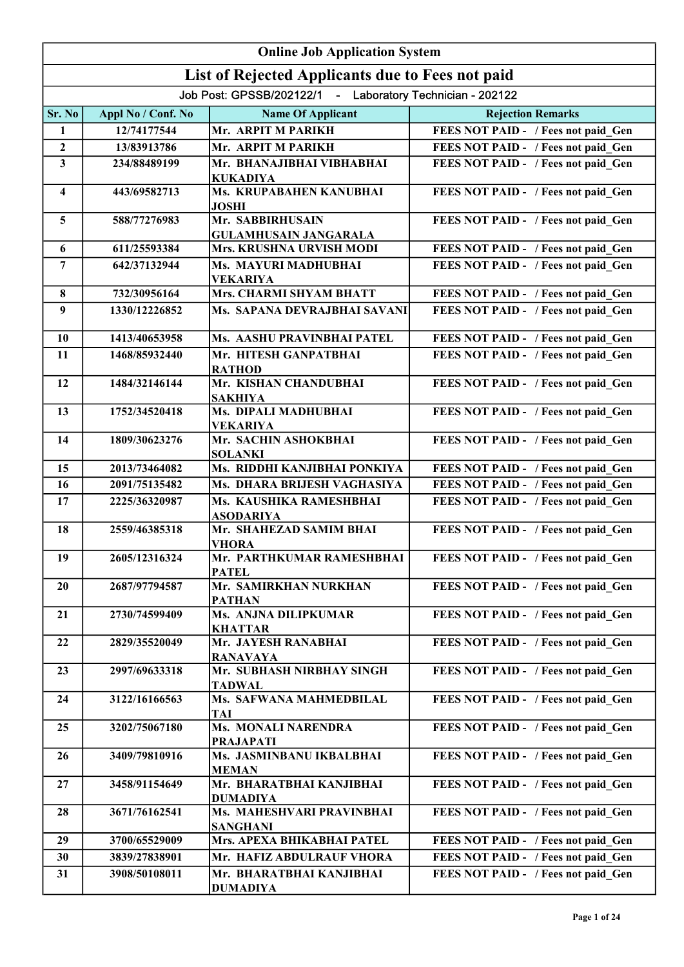|                         |                    | <b>Online Job Application System</b>                      |                                     |
|-------------------------|--------------------|-----------------------------------------------------------|-------------------------------------|
|                         |                    | List of Rejected Applicants due to Fees not paid          |                                     |
|                         |                    | Job Post: GPSSB/202122/1 - Laboratory Technician - 202122 |                                     |
| Sr. No                  | Appl No / Conf. No | <b>Name Of Applicant</b>                                  | <b>Rejection Remarks</b>            |
| 1                       | 12/74177544        | Mr. ARPIT M PARIKH                                        | FEES NOT PAID - / Fees not paid Gen |
| $\overline{2}$          | 13/83913786        | Mr. ARPIT M PARIKH                                        | FEES NOT PAID - / Fees not paid Gen |
| 3                       | 234/88489199       | Mr. BHANAJIBHAI VIBHABHAI<br><b>KUKADIYA</b>              | FEES NOT PAID - / Fees not paid Gen |
| $\overline{\mathbf{4}}$ | 443/69582713       | Ms. KRUPABAHEN KANUBHAI<br><b>JOSHI</b>                   | FEES NOT PAID - / Fees not paid Gen |
| 5                       | 588/77276983       | Mr. SABBIRHUSAIN<br><b>GULAMHUSAIN JANGARALA</b>          | FEES NOT PAID - / Fees not paid Gen |
| 6                       | 611/25593384       | Mrs. KRUSHNA URVISH MODI                                  | FEES NOT PAID - / Fees not paid_Gen |
| $\overline{7}$          | 642/37132944       | Ms. MAYURI MADHUBHAI<br><b>VEKARIYA</b>                   | FEES NOT PAID - / Fees not paid Gen |
| 8                       | 732/30956164       | Mrs. CHARMI SHYAM BHATT                                   | FEES NOT PAID - / Fees not paid Gen |
| 9                       | 1330/12226852      | Ms. SAPANA DEVRAJBHAI SAVANI                              | FEES NOT PAID - / Fees not paid Gen |
| 10                      | 1413/40653958      | Ms. AASHU PRAVINBHAI PATEL                                | FEES NOT PAID - / Fees not paid Gen |
| 11                      | 1468/85932440      | Mr. HITESH GANPATBHAI<br><b>RATHOD</b>                    | FEES NOT PAID - / Fees not paid Gen |
| 12                      | 1484/32146144      | Mr. KISHAN CHANDUBHAI<br><b>SAKHIYA</b>                   | FEES NOT PAID - / Fees not paid Gen |
| 13                      | 1752/34520418      | Ms. DIPALI MADHUBHAI<br><b>VEKARIYA</b>                   | FEES NOT PAID - / Fees not paid Gen |
| 14                      | 1809/30623276      | Mr. SACHIN ASHOKBHAI<br><b>SOLANKI</b>                    | FEES NOT PAID - / Fees not paid Gen |
| 15                      | 2013/73464082      | Ms. RIDDHI KANJIBHAI PONKIYA                              | FEES NOT PAID - / Fees not paid Gen |
| 16                      | 2091/75135482      | Ms. DHARA BRIJESH VAGHASIYA                               | FEES NOT PAID - / Fees not paid Gen |
| 17                      | 2225/36320987      | Ms. KAUSHIKA RAMESHBHAI<br><b>ASODARIYA</b>               | FEES NOT PAID - / Fees not paid Gen |
| 18                      | 2559/46385318      | Mr. SHAHEZAD SAMIM BHAI<br><b>VHORA</b>                   | FEES NOT PAID - / Fees not paid Gen |
| 19                      | 2605/12316324      | Mr. PARTHKUMAR RAMESHBHAI<br><b>PATEL</b>                 | FEES NOT PAID - / Fees not paid Gen |
| 20                      | 2687/97794587      | Mr. SAMIRKHAN NURKHAN<br><b>PATHAN</b>                    | FEES NOT PAID - / Fees not paid Gen |
| 21                      | 2730/74599409      | Ms. ANJNA DILIPKUMAR<br><b>KHATTAR</b>                    | FEES NOT PAID - / Fees not paid Gen |
| 22                      | 2829/35520049      | Mr. JAYESH RANABHAI<br><b>RANAVAYA</b>                    | FEES NOT PAID - / Fees not paid Gen |
| 23                      | 2997/69633318      | Mr. SUBHASH NIRBHAY SINGH<br><b>TADWAL</b>                | FEES NOT PAID - / Fees not paid Gen |
| 24                      | 3122/16166563      | Ms. SAFWANA MAHMEDBILAL<br><b>TAI</b>                     | FEES NOT PAID - / Fees not paid Gen |
| 25                      | 3202/75067180      | Ms. MONALI NARENDRA<br><b>PRAJAPATI</b>                   | FEES NOT PAID - / Fees not paid_Gen |
| 26                      | 3409/79810916      | Ms. JASMINBANU IKBALBHAI<br><b>MEMAN</b>                  | FEES NOT PAID - / Fees not paid Gen |
| 27                      | 3458/91154649      | Mr. BHARATBHAI KANJIBHAI<br><b>DUMADIYA</b>               | FEES NOT PAID - / Fees not paid Gen |
| 28                      | 3671/76162541      | Ms. MAHESHVARI PRAVINBHAI<br><b>SANGHANI</b>              | FEES NOT PAID - / Fees not paid Gen |
| 29                      | 3700/65529009      | Mrs. APEXA BHIKABHAI PATEL                                | FEES NOT PAID - / Fees not paid Gen |
| 30                      | 3839/27838901      | Mr. HAFIZ ABDULRAUF VHORA                                 | FEES NOT PAID - / Fees not paid Gen |
| 31                      | 3908/50108011      | Mr. BHARATBHAI KANJIBHAI                                  | FEES NOT PAID - / Fees not paid Gen |
|                         |                    | <b>DUMADIYA</b>                                           |                                     |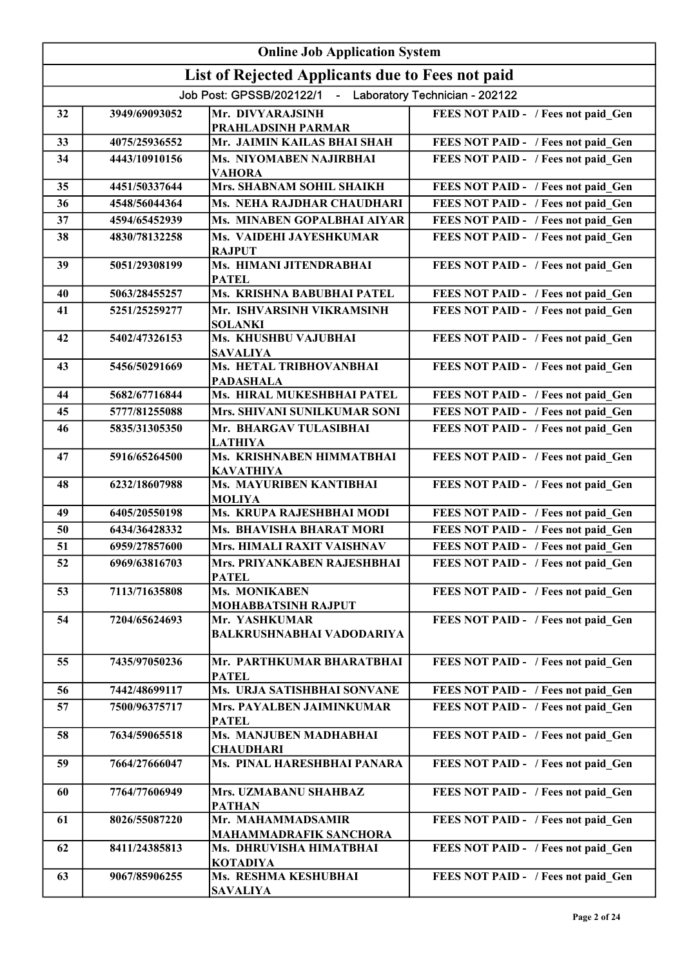|    | <b>Online Job Application System</b> |                                                           |                                     |  |
|----|--------------------------------------|-----------------------------------------------------------|-------------------------------------|--|
|    |                                      | List of Rejected Applicants due to Fees not paid          |                                     |  |
|    |                                      | Job Post: GPSSB/202122/1 - Laboratory Technician - 202122 |                                     |  |
| 32 | 3949/69093052                        | Mr. DIVYARAJSINH                                          | FEES NOT PAID - / Fees not paid Gen |  |
| 33 | 4075/25936552                        | PRAHLADSINH PARMAR<br>Mr. JAIMIN KAILAS BHAI SHAH         | FEES NOT PAID - / Fees not paid Gen |  |
| 34 | 4443/10910156                        | Ms. NIYOMABEN NAJIRBHAI                                   | FEES NOT PAID - / Fees not paid Gen |  |
|    |                                      | <b>VAHORA</b>                                             |                                     |  |
| 35 | 4451/50337644                        | Mrs. SHABNAM SOHIL SHAIKH                                 | FEES NOT PAID - / Fees not paid Gen |  |
| 36 | 4548/56044364                        | Ms. NEHA RAJDHAR CHAUDHARI                                | FEES NOT PAID - / Fees not paid Gen |  |
| 37 | 4594/65452939                        | Ms. MINABEN GOPALBHAI AIYAR                               | FEES NOT PAID - / Fees not paid Gen |  |
| 38 | 4830/78132258                        | Ms. VAIDEHI JAYESHKUMAR<br><b>RAJPUT</b>                  | FEES NOT PAID - / Fees not paid Gen |  |
| 39 | 5051/29308199                        | Ms. HIMANI JITENDRABHAI<br><b>PATEL</b>                   | FEES NOT PAID - / Fees not paid Gen |  |
| 40 | 5063/28455257                        | Ms. KRISHNA BABUBHAI PATEL                                | FEES NOT PAID - / Fees not paid Gen |  |
| 41 | 5251/25259277                        | Mr. ISHVARSINH VIKRAMSINH<br><b>SOLANKI</b>               | FEES NOT PAID - / Fees not paid Gen |  |
| 42 | 5402/47326153                        | Ms. KHUSHBU VAJUBHAI<br><b>SAVALIYA</b>                   | FEES NOT PAID - / Fees not paid Gen |  |
| 43 | 5456/50291669                        | Ms. HETAL TRIBHOVANBHAI<br><b>PADASHALA</b>               | FEES NOT PAID - / Fees not paid Gen |  |
| 44 | 5682/67716844                        | Ms. HIRAL MUKESHBHAI PATEL                                | FEES NOT PAID - / Fees not paid Gen |  |
| 45 | 5777/81255088                        | Mrs. SHIVANI SUNILKUMAR SONI                              | FEES NOT PAID - / Fees not paid Gen |  |
| 46 | 5835/31305350                        | Mr. BHARGAV TULASIBHAI<br><b>LATHIYA</b>                  | FEES NOT PAID - / Fees not paid Gen |  |
| 47 | 5916/65264500                        | Ms. KRISHNABEN HIMMATBHAI<br><b>KAVATHIYA</b>             | FEES NOT PAID - / Fees not paid_Gen |  |
| 48 | 6232/18607988                        | Ms. MAYURIBEN KANTIBHAI<br><b>MOLIYA</b>                  | FEES NOT PAID - / Fees not paid Gen |  |
| 49 | 6405/20550198                        | Ms. KRUPA RAJESHBHAI MODI                                 | FEES NOT PAID - / Fees not paid Gen |  |
| 50 | 6434/36428332                        | Ms. BHAVISHA BHARAT MORI                                  | FEES NOT PAID - / Fees not paid Gen |  |
| 51 | 6959/27857600                        | Mrs. HIMALI RAXIT VAISHNAV                                | FEES NOT PAID - / Fees not paid Gen |  |
| 52 | 6969/63816703                        | Mrs. PRIYANKABEN RAJESHBHAI<br><b>PATEL</b>               | FEES NOT PAID - / Fees not paid Gen |  |
| 53 | 7113/71635808                        | Ms. MONIKABEN<br><b>MOHABBATSINH RAJPUT</b>               | FEES NOT PAID - / Fees not paid Gen |  |
| 54 | 7204/65624693                        | Mr. YASHKUMAR<br><b>BALKRUSHNABHAI VADODARIYA</b>         | FEES NOT PAID - / Fees not paid Gen |  |
| 55 | 7435/97050236                        | Mr. PARTHKUMAR BHARATBHAI<br><b>PATEL</b>                 | FEES NOT PAID - / Fees not paid Gen |  |
| 56 | 7442/48699117                        | Ms. URJA SATISHBHAI SONVANE                               | FEES NOT PAID - / Fees not paid Gen |  |
| 57 | 7500/96375717                        | Mrs. PAYALBEN JAIMINKUMAR<br><b>PATEL</b>                 | FEES NOT PAID - / Fees not paid Gen |  |
| 58 | 7634/59065518                        | Ms. MANJUBEN MADHABHAI<br><b>CHAUDHARI</b>                | FEES NOT PAID - / Fees not paid Gen |  |
| 59 | 7664/27666047                        | Ms. PINAL HARESHBHAI PANARA                               | FEES NOT PAID - / Fees not paid Gen |  |
| 60 | 7764/77606949                        | Mrs. UZMABANU SHAHBAZ<br><b>PATHAN</b>                    | FEES NOT PAID - / Fees not paid Gen |  |
| 61 | 8026/55087220                        | Mr. MAHAMMADSAMIR<br>MAHAMMADRAFIK SANCHORA               | FEES NOT PAID - / Fees not paid Gen |  |
| 62 | 8411/24385813                        | Ms. DHRUVISHA HIMATBHAI<br><b>KOTADIYA</b>                | FEES NOT PAID - / Fees not paid Gen |  |
| 63 | 9067/85906255                        | Ms. RESHMA KESHUBHAI<br><b>SAVALIYA</b>                   | FEES NOT PAID - / Fees not paid_Gen |  |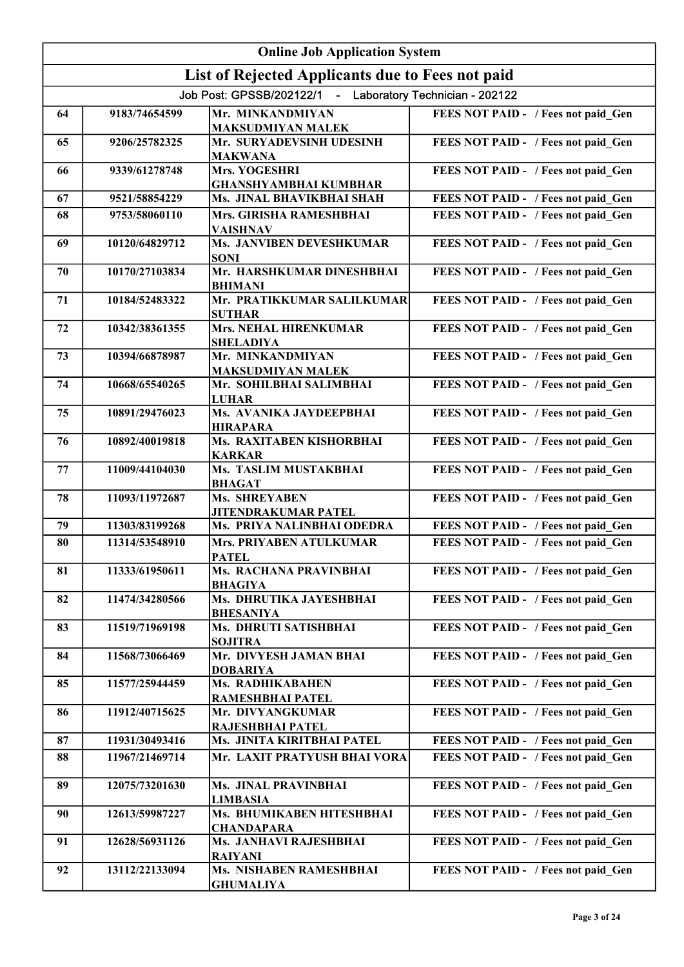|    |                | <b>Online Job Application System</b>                      |                                     |
|----|----------------|-----------------------------------------------------------|-------------------------------------|
|    |                | List of Rejected Applicants due to Fees not paid          |                                     |
|    |                | Job Post: GPSSB/202122/1 - Laboratory Technician - 202122 |                                     |
| 64 | 9183/74654599  | Mr. MINKANDMIYAN<br><b>MAKSUDMIYAN MALEK</b>              | FEES NOT PAID - / Fees not paid Gen |
| 65 | 9206/25782325  | Mr. SURYADEVSINH UDESINH<br><b>MAKWANA</b>                | FEES NOT PAID - / Fees not paid_Gen |
| 66 | 9339/61278748  | Mrs. YOGESHRI<br><b>GHANSHYAMBHAI KUMBHAR</b>             | FEES NOT PAID - / Fees not paid_Gen |
| 67 | 9521/58854229  | Ms. JINAL BHAVIKBHAI SHAH                                 | FEES NOT PAID - / Fees not paid Gen |
| 68 | 9753/58060110  | Mrs. GIRISHA RAMESHBHAI<br><b>VAISHNAV</b>                | FEES NOT PAID - / Fees not paid Gen |
| 69 | 10120/64829712 | <b>Ms. JANVIBEN DEVESHKUMAR</b><br><b>SONI</b>            | FEES NOT PAID - / Fees not paid Gen |
| 70 | 10170/27103834 | Mr. HARSHKUMAR DINESHBHAI<br><b>BHIMANI</b>               | FEES NOT PAID - / Fees not paid Gen |
| 71 | 10184/52483322 | Mr. PRATIKKUMAR SALILKUMAR<br><b>SUTHAR</b>               | FEES NOT PAID - / Fees not paid Gen |
| 72 | 10342/38361355 | <b>Mrs. NEHAL HIRENKUMAR</b><br><b>SHELADIYA</b>          | FEES NOT PAID - / Fees not paid Gen |
| 73 | 10394/66878987 | Mr. MINKANDMIYAN<br><b>MAKSUDMIYAN MALEK</b>              | FEES NOT PAID - / Fees not paid Gen |
| 74 | 10668/65540265 | Mr. SOHILBHAI SALIMBHAI<br><b>LUHAR</b>                   | FEES NOT PAID - / Fees not paid Gen |
| 75 | 10891/29476023 | Ms. AVANIKA JAYDEEPBHAI<br><b>HIRAPARA</b>                | FEES NOT PAID - / Fees not paid Gen |
| 76 | 10892/40019818 | Ms. RAXITABEN KISHORBHAI<br><b>KARKAR</b>                 | FEES NOT PAID - / Fees not paid Gen |
| 77 | 11009/44104030 | Ms. TASLIM MUSTAKBHAI<br><b>BHAGAT</b>                    | FEES NOT PAID - / Fees not paid_Gen |
| 78 | 11093/11972687 | <b>Ms. SHREYABEN</b><br><b>JITENDRAKUMAR PATEL</b>        | FEES NOT PAID - / Fees not paid_Gen |
| 79 | 11303/83199268 | Ms. PRIYA NALINBHAI ODEDRA                                | FEES NOT PAID - / Fees not paid Gen |
| 80 | 11314/53548910 | Mrs. PRIYABEN ATULKUMAR<br><b>PATEL</b>                   | FEES NOT PAID - / Fees not paid Gen |
| 81 | 11333/61950611 | Ms. RACHANA PRAVINBHAI<br><b>BHAGIYA</b>                  | FEES NOT PAID - / Fees not paid Gen |
| 82 | 11474/34280566 | Ms. DHRUTIKA JAYESHBHAI<br><b>BHESANIYA</b>               | FEES NOT PAID - / Fees not paid Gen |
| 83 | 11519/71969198 | Ms. DHRUTI SATISHBHAI<br><b>SOJITRA</b>                   | FEES NOT PAID - / Fees not paid Gen |
| 84 | 11568/73066469 | Mr. DIVYESH JAMAN BHAI<br><b>DOBARIYA</b>                 | FEES NOT PAID - / Fees not paid Gen |
| 85 | 11577/25944459 | Ms. RADHIKABAHEN<br>RAMESHBHAI PATEL                      | FEES NOT PAID - / Fees not paid Gen |
| 86 | 11912/40715625 | Mr. DIVYANGKUMAR<br>RAJESHBHAI PATEL                      | FEES NOT PAID - / Fees not paid Gen |
| 87 | 11931/30493416 | Ms. JINITA KIRITBHAI PATEL                                | FEES NOT PAID - / Fees not paid Gen |
| 88 | 11967/21469714 | Mr. LAXIT PRATYUSH BHAI VORA                              | FEES NOT PAID - / Fees not paid Gen |
| 89 | 12075/73201630 | Ms. JINAL PRAVINBHAI<br><b>LIMBASIA</b>                   | FEES NOT PAID - / Fees not paid Gen |
| 90 | 12613/59987227 | Ms. BHUMIKABEN HITESHBHAI<br><b>CHANDAPARA</b>            | FEES NOT PAID - / Fees not paid Gen |
| 91 | 12628/56931126 | Ms. JANHAVI RAJESHBHAI<br><b>RAIYANI</b>                  | FEES NOT PAID - / Fees not paid Gen |
| 92 | 13112/22133094 | Ms. NISHABEN RAMESHBHAI<br><b>GHUMALIYA</b>               | FEES NOT PAID - / Fees not paid Gen |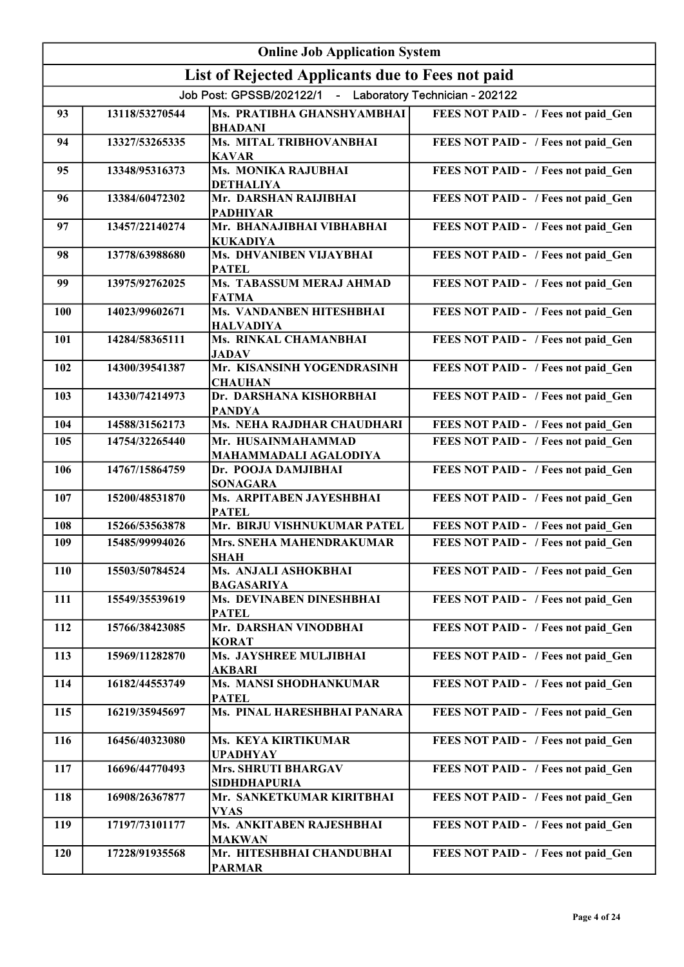|     | <b>Online Job Application System</b> |                                                           |                                     |  |
|-----|--------------------------------------|-----------------------------------------------------------|-------------------------------------|--|
|     |                                      | List of Rejected Applicants due to Fees not paid          |                                     |  |
|     |                                      | Job Post: GPSSB/202122/1 - Laboratory Technician - 202122 |                                     |  |
| 93  | 13118/53270544                       | Ms. PRATIBHA GHANSHYAMBHAI<br><b>BHADANI</b>              | FEES NOT PAID - / Fees not paid Gen |  |
| 94  | 13327/53265335                       | Ms. MITAL TRIBHOVANBHAI<br><b>KAVAR</b>                   | FEES NOT PAID - / Fees not paid_Gen |  |
| 95  | 13348/95316373                       | Ms. MONIKA RAJUBHAI<br><b>DETHALIYA</b>                   | FEES NOT PAID - / Fees not paid_Gen |  |
| 96  | 13384/60472302                       | Mr. DARSHAN RAIJIBHAI<br><b>PADHIYAR</b>                  | FEES NOT PAID - / Fees not paid_Gen |  |
| 97  | 13457/22140274                       | Mr. BHANAJIBHAI VIBHABHAI<br><b>KUKADIYA</b>              | FEES NOT PAID - / Fees not paid_Gen |  |
| 98  | 13778/63988680                       | Ms. DHVANIBEN VIJAYBHAI<br><b>PATEL</b>                   | FEES NOT PAID - / Fees not paid_Gen |  |
| 99  | 13975/92762025                       | Ms. TABASSUM MERAJ AHMAD<br><b>FATMA</b>                  | FEES NOT PAID - / Fees not paid Gen |  |
| 100 | 14023/99602671                       | <b>Ms. VANDANBEN HITESHBHAI</b><br><b>HALVADIYA</b>       | FEES NOT PAID - / Fees not paid_Gen |  |
| 101 | 14284/58365111                       | Ms. RINKAL CHAMANBHAI<br><b>JADAV</b>                     | FEES NOT PAID - / Fees not paid Gen |  |
| 102 | 14300/39541387                       | Mr. KISANSINH YOGENDRASINH<br><b>CHAUHAN</b>              | FEES NOT PAID - / Fees not paid Gen |  |
| 103 | 14330/74214973                       | Dr. DARSHANA KISHORBHAI<br><b>PANDYA</b>                  | FEES NOT PAID - / Fees not paid Gen |  |
| 104 | 14588/31562173                       | Ms. NEHA RAJDHAR CHAUDHARI                                | FEES NOT PAID - / Fees not paid Gen |  |
| 105 | 14754/32265440                       | Mr. HUSAINMAHAMMAD<br>MAHAMMADALI AGALODIYA               | FEES NOT PAID - / Fees not paid Gen |  |
| 106 | 14767/15864759                       | Dr. POOJA DAMJIBHAI<br><b>SONAGARA</b>                    | FEES NOT PAID - / Fees not paid_Gen |  |
| 107 | 15200/48531870                       | Ms. ARPITABEN JAYESHBHAI<br><b>PATEL</b>                  | FEES NOT PAID - / Fees not paid_Gen |  |
| 108 | 15266/53563878                       | Mr. BIRJU VISHNUKUMAR PATEL                               | FEES NOT PAID - / Fees not paid_Gen |  |
| 109 | 15485/99994026                       | Mrs. SNEHA MAHENDRAKUMAR<br>SHAH                          | FEES NOT PAID - / Fees not paid Gen |  |
| 110 | 15503/50784524                       | Ms. ANJALI ASHOKBHAI<br><b>BAGASARIYA</b>                 | FEES NOT PAID - / Fees not paid Gen |  |
| 111 | 15549/35539619                       | Ms. DEVINABEN DINESHBHAI<br><b>PATEL</b>                  | FEES NOT PAID - / Fees not paid Gen |  |
| 112 | 15766/38423085                       | Mr. DARSHAN VINODBHAI<br><b>KORAT</b>                     | FEES NOT PAID - / Fees not paid Gen |  |
| 113 | 15969/11282870                       | Ms. JAYSHREE MULJIBHAI<br><b>AKBARI</b>                   | FEES NOT PAID - / Fees not paid_Gen |  |
| 114 | 16182/44553749                       | Ms. MANSI SHODHANKUMAR<br><b>PATEL</b>                    | FEES NOT PAID - / Fees not paid Gen |  |
| 115 | 16219/35945697                       | Ms. PINAL HARESHBHAI PANARA                               | FEES NOT PAID - / Fees not paid_Gen |  |
| 116 | 16456/40323080                       | Ms. KEYA KIRTIKUMAR<br><b>UPADHYAY</b>                    | FEES NOT PAID - / Fees not paid Gen |  |
| 117 | 16696/44770493                       | <b>Mrs. SHRUTI BHARGAV</b><br><b>SIDHDHAPURIA</b>         | FEES NOT PAID - / Fees not paid Gen |  |
| 118 | 16908/26367877                       | Mr. SANKETKUMAR KIRITBHAI<br><b>VYAS</b>                  | FEES NOT PAID - / Fees not paid_Gen |  |
| 119 | 17197/73101177                       | Ms. ANKITABEN RAJESHBHAI<br><b>MAKWAN</b>                 | FEES NOT PAID - / Fees not paid_Gen |  |
| 120 | 17228/91935568                       | Mr. HITESHBHAI CHANDUBHAI<br><b>PARMAR</b>                | FEES NOT PAID - / Fees not paid_Gen |  |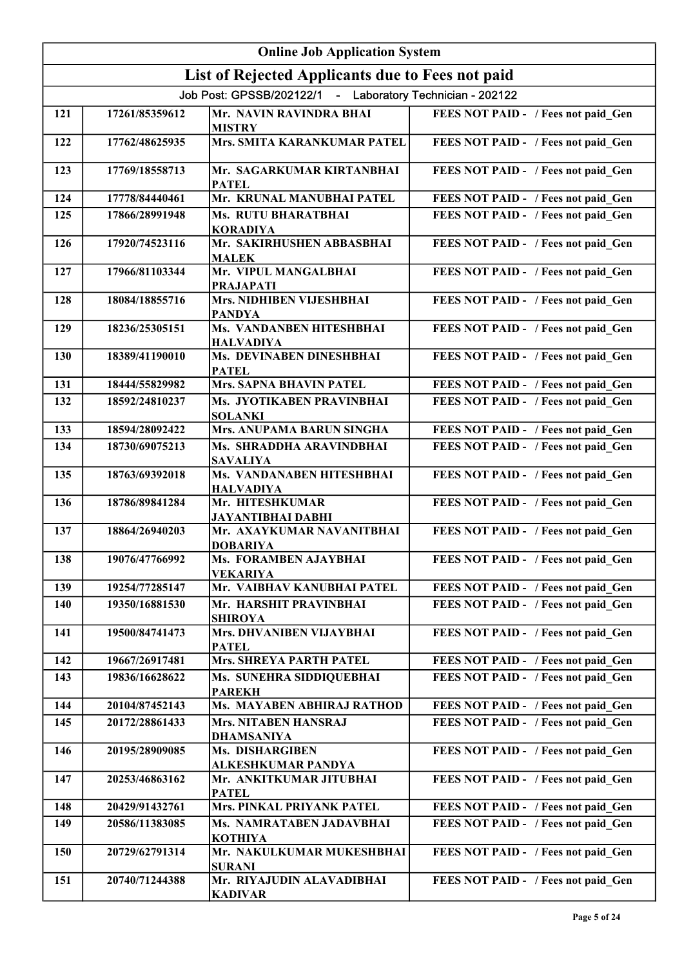|     | <b>Online Job Application System</b> |                                                           |                                     |  |
|-----|--------------------------------------|-----------------------------------------------------------|-------------------------------------|--|
|     |                                      | List of Rejected Applicants due to Fees not paid          |                                     |  |
|     |                                      | Job Post: GPSSB/202122/1 - Laboratory Technician - 202122 |                                     |  |
| 121 | 17261/85359612                       | Mr. NAVIN RAVINDRA BHAI<br><b>MISTRY</b>                  | FEES NOT PAID - / Fees not paid Gen |  |
| 122 | 17762/48625935                       | Mrs. SMITA KARANKUMAR PATEL                               | FEES NOT PAID - / Fees not paid_Gen |  |
| 123 | 17769/18558713                       | Mr. SAGARKUMAR KIRTANBHAI<br><b>PATEL</b>                 | FEES NOT PAID - / Fees not paid_Gen |  |
| 124 | 17778/84440461                       | Mr. KRUNAL MANUBHAI PATEL                                 | FEES NOT PAID - / Fees not paid Gen |  |
| 125 | 17866/28991948                       | Ms. RUTU BHARATBHAI<br><b>KORADIYA</b>                    | FEES NOT PAID - / Fees not paid Gen |  |
| 126 | 17920/74523116                       | Mr. SAKIRHUSHEN ABBASBHAI<br><b>MALEK</b>                 | FEES NOT PAID - / Fees not paid Gen |  |
| 127 | 17966/81103344                       | Mr. VIPUL MANGALBHAI<br><b>PRAJAPATI</b>                  | FEES NOT PAID - / Fees not paid Gen |  |
| 128 | 18084/18855716                       | Mrs. NIDHIBEN VIJESHBHAI<br><b>PANDYA</b>                 | FEES NOT PAID - / Fees not paid Gen |  |
| 129 | 18236/25305151                       | Ms. VANDANBEN HITESHBHAI<br><b>HALVADIYA</b>              | FEES NOT PAID - / Fees not paid Gen |  |
| 130 | 18389/41190010                       | <b>Ms. DEVINABEN DINESHBHAI</b><br><b>PATEL</b>           | FEES NOT PAID - / Fees not paid Gen |  |
| 131 | 18444/55829982                       | <b>Mrs. SAPNA BHAVIN PATEL</b>                            | FEES NOT PAID - / Fees not paid Gen |  |
| 132 | 18592/24810237                       | Ms. JYOTIKABEN PRAVINBHAI<br><b>SOLANKI</b>               | FEES NOT PAID - / Fees not paid Gen |  |
| 133 | 18594/28092422                       | Mrs. ANUPAMA BARUN SINGHA                                 | FEES NOT PAID - / Fees not paid_Gen |  |
| 134 | 18730/69075213                       | Ms. SHRADDHA ARAVINDBHAI<br><b>SAVALIYA</b>               | FEES NOT PAID - / Fees not paid Gen |  |
| 135 | 18763/69392018                       | Ms. VANDANABEN HITESHBHAI<br><b>HALVADIYA</b>             | FEES NOT PAID - / Fees not paid_Gen |  |
| 136 | 18786/89841284                       | Mr. HITESHKUMAR<br><b>JAYANTIBHAI DABHI</b>               | FEES NOT PAID - / Fees not paid_Gen |  |
| 137 | 18864/26940203                       | Mr. AXAYKUMAR NAVANITBHAI<br><b>DOBARIYA</b>              | FEES NOT PAID - / Fees not paid Gen |  |
| 138 | 19076/47766992                       | Ms. FORAMBEN AJAYBHAI<br><b>VEKARIYA</b>                  | FEES NOT PAID - / Fees not paid Gen |  |
| 139 | 19254/77285147                       | Mr. VAIBHAV KANUBHAI PATEL                                | FEES NOT PAID - / Fees not paid Gen |  |
| 140 | 19350/16881530                       | Mr. HARSHIT PRAVINBHAI<br><b>SHIROYA</b>                  | FEES NOT PAID - / Fees not paid Gen |  |
| 141 | 19500/84741473                       | Mrs. DHVANIBEN VIJAYBHAI<br><b>PATEL</b>                  | FEES NOT PAID - / Fees not paid Gen |  |
| 142 | 19667/26917481                       | Mrs. SHREYA PARTH PATEL                                   | FEES NOT PAID - / Fees not paid Gen |  |
| 143 | 19836/16628622                       | Ms. SUNEHRA SIDDIQUEBHAI<br><b>PAREKH</b>                 | FEES NOT PAID - / Fees not paid Gen |  |
| 144 | 20104/87452143                       | Ms. MAYABEN ABHIRAJ RATHOD                                | FEES NOT PAID - / Fees not paid_Gen |  |
| 145 | 20172/28861433                       | <b>Mrs. NITABEN HANSRAJ</b><br>DHAMSANIYA                 | FEES NOT PAID - / Fees not paid Gen |  |
| 146 | 20195/28909085                       | Ms. DISHARGIBEN<br>ALKESHKUMAR PANDYA                     | FEES NOT PAID - / Fees not paid Gen |  |
| 147 | 20253/46863162                       | Mr. ANKITKUMAR JITUBHAI<br><b>PATEL</b>                   | FEES NOT PAID - / Fees not paid Gen |  |
| 148 | 20429/91432761                       | <b>Mrs. PINKAL PRIYANK PATEL</b>                          | FEES NOT PAID - / Fees not paid Gen |  |
| 149 | 20586/11383085                       | Ms. NAMRATABEN JADAVBHAI<br><b>KOTHIYA</b>                | FEES NOT PAID - / Fees not paid Gen |  |
| 150 | 20729/62791314                       | Mr. NAKULKUMAR MUKESHBHAI<br><b>SURANI</b>                | FEES NOT PAID - / Fees not paid_Gen |  |
| 151 | 20740/71244388                       | Mr. RIYAJUDIN ALAVADIBHAI<br><b>KADIVAR</b>               | FEES NOT PAID - / Fees not paid Gen |  |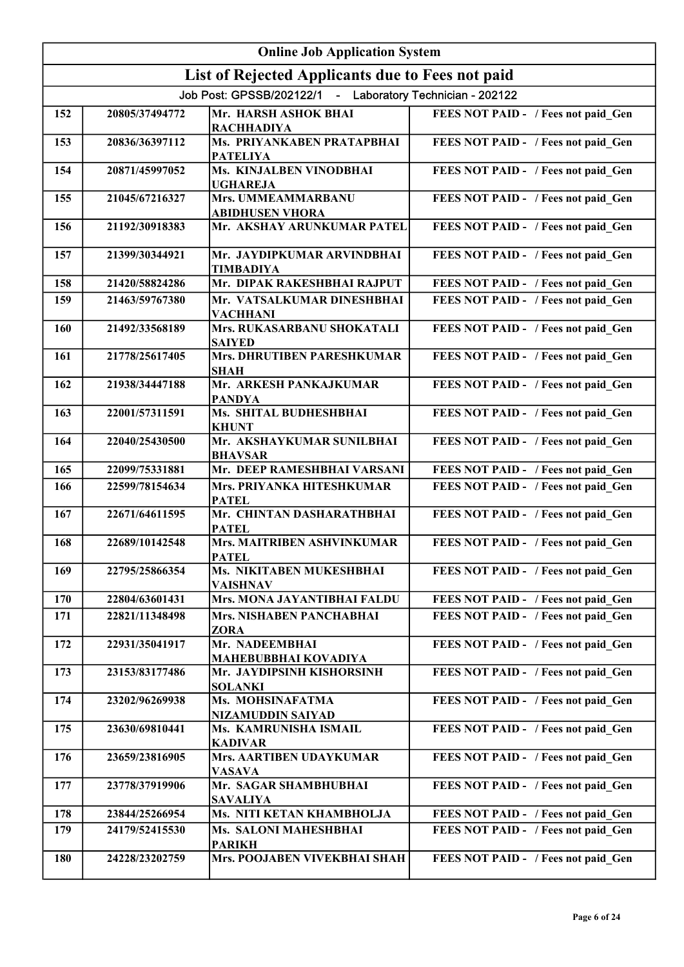| <b>Online Job Application System</b> |                |                                                           |                                     |
|--------------------------------------|----------------|-----------------------------------------------------------|-------------------------------------|
|                                      |                | List of Rejected Applicants due to Fees not paid          |                                     |
|                                      |                | Job Post: GPSSB/202122/1 - Laboratory Technician - 202122 |                                     |
| 152                                  | 20805/37494772 | Mr. HARSH ASHOK BHAI<br><b>RACHHADIYA</b>                 | FEES NOT PAID - / Fees not paid Gen |
| 153                                  | 20836/36397112 | Ms. PRIYANKABEN PRATAPBHAI<br><b>PATELIYA</b>             | FEES NOT PAID - / Fees not paid_Gen |
| 154                                  | 20871/45997052 | <b>Ms. KINJALBEN VINODBHAI</b><br><b>UGHAREJA</b>         | FEES NOT PAID - / Fees not paid_Gen |
| 155                                  | 21045/67216327 | Mrs. UMMEAMMARBANU<br>ABIDHUSEN VHORA                     | FEES NOT PAID - / Fees not paid_Gen |
| 156                                  | 21192/30918383 | Mr. AKSHAY ARUNKUMAR PATEL                                | FEES NOT PAID - / Fees not paid_Gen |
| 157                                  | 21399/30344921 | Mr. JAYDIPKUMAR ARVINDBHAI<br><b>TIMBADIYA</b>            | FEES NOT PAID - / Fees not paid Gen |
| 158                                  | 21420/58824286 | Mr. DIPAK RAKESHBHAI RAJPUT                               | FEES NOT PAID - / Fees not paid_Gen |
| 159                                  | 21463/59767380 | Mr. VATSALKUMAR DINESHBHAI<br><b>VACHHANI</b>             | FEES NOT PAID - / Fees not paid Gen |
| 160                                  | 21492/33568189 | Mrs. RUKASARBANU SHOKATALI<br><b>SAIYED</b>               | FEES NOT PAID - / Fees not paid Gen |
| 161                                  | 21778/25617405 | <b>Mrs. DHRUTIBEN PARESHKUMAR</b><br><b>SHAH</b>          | FEES NOT PAID - / Fees not paid Gen |
| 162                                  | 21938/34447188 | Mr. ARKESH PANKAJKUMAR<br><b>PANDYA</b>                   | FEES NOT PAID - / Fees not paid Gen |
| 163                                  | 22001/57311591 | Ms. SHITAL BUDHESHBHAI<br><b>KHUNT</b>                    | FEES NOT PAID - / Fees not paid Gen |
| 164                                  | 22040/25430500 | Mr. AKSHAYKUMAR SUNILBHAI<br><b>BHAVSAR</b>               | FEES NOT PAID - / Fees not paid Gen |
| 165                                  | 22099/75331881 | Mr. DEEP RAMESHBHAI VARSANI                               | FEES NOT PAID - / Fees not paid_Gen |
| 166                                  | 22599/78154634 | Mrs. PRIYANKA HITESHKUMAR<br><b>PATEL</b>                 | FEES NOT PAID - / Fees not paid Gen |
| 167                                  | 22671/64611595 | Mr. CHINTAN DASHARATHBHAI<br><b>PATEL</b>                 | FEES NOT PAID - / Fees not paid_Gen |
| 168                                  | 22689/10142548 | Mrs. MAITRIBEN ASHVINKUMAR<br>PATEL                       | FEES NOT PAID - / Fees not paid Gen |
| 169                                  | 22795/25866354 | Ms. NIKITABEN MUKESHBHAI<br><b>VAISHNAV</b>               | FEES NOT PAID - / Fees not paid Gen |
| 170                                  | 22804/63601431 | Mrs. MONA JAYANTIBHAI FALDU                               | FEES NOT PAID - / Fees not paid Gen |
| 171                                  | 22821/11348498 | <b>Mrs. NISHABEN PANCHABHAI</b><br><b>ZORA</b>            | FEES NOT PAID - / Fees not paid Gen |
| 172                                  | 22931/35041917 | Mr. NADEEMBHAI<br>MAHEBUBBHAI KOVADIYA                    | FEES NOT PAID - / Fees not paid_Gen |
| 173                                  | 23153/83177486 | Mr. JAYDIPSINH KISHORSINH<br><b>SOLANKI</b>               | FEES NOT PAID - / Fees not paid_Gen |
| 174                                  | 23202/96269938 | Ms. MOHSINAFATMA<br>NIZAMUDDIN SAIYAD                     | FEES NOT PAID - / Fees not paid_Gen |
| 175                                  | 23630/69810441 | Ms. KAMRUNISHA ISMAIL<br><b>KADIVAR</b>                   | FEES NOT PAID - / Fees not paid Gen |
| 176                                  | 23659/23816905 | Mrs. AARTIBEN UDAYKUMAR<br><b>VASAVA</b>                  | FEES NOT PAID - / Fees not paid_Gen |
| 177                                  | 23778/37919906 | Mr. SAGAR SHAMBHUBHAI<br><b>SAVALIYA</b>                  | FEES NOT PAID - / Fees not paid_Gen |
| 178                                  | 23844/25266954 | Ms. NITI KETAN KHAMBHOLJA                                 | FEES NOT PAID - / Fees not paid_Gen |
| 179                                  | 24179/52415530 | Ms. SALONI MAHESHBHAI<br><b>PARIKH</b>                    | FEES NOT PAID - / Fees not paid Gen |
| 180                                  | 24228/23202759 | Mrs. POOJABEN VIVEKBHAI SHAH                              | FEES NOT PAID - / Fees not paid Gen |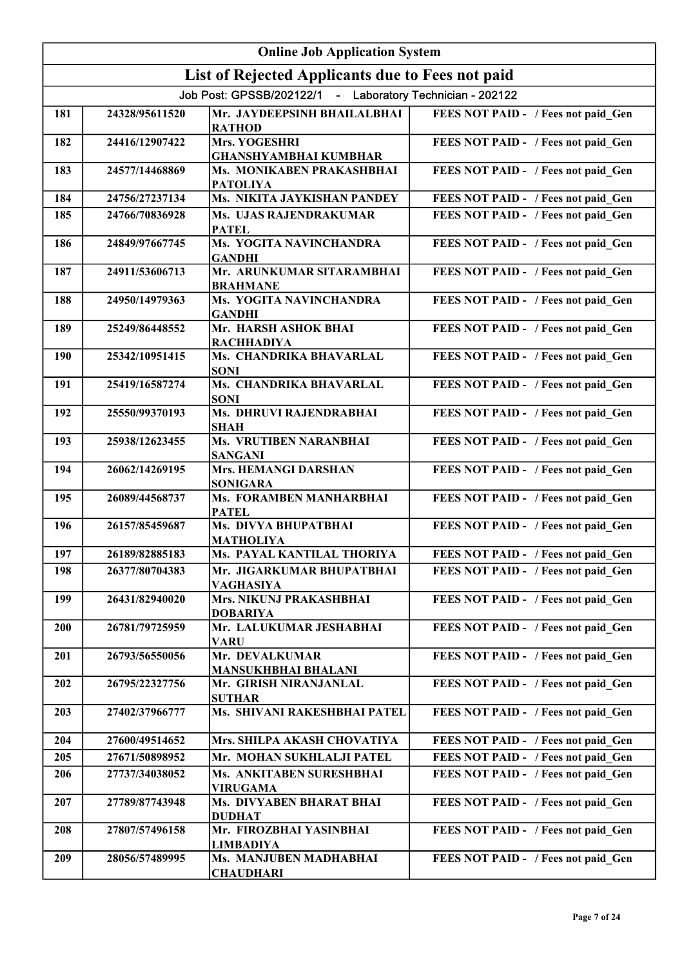|            | <b>Online Job Application System</b> |                                                           |                                     |  |
|------------|--------------------------------------|-----------------------------------------------------------|-------------------------------------|--|
|            |                                      | List of Rejected Applicants due to Fees not paid          |                                     |  |
|            |                                      | Job Post: GPSSB/202122/1 - Laboratory Technician - 202122 |                                     |  |
| 181        | 24328/95611520                       | Mr. JAYDEEPSINH BHAILALBHAI<br><b>RATHOD</b>              | FEES NOT PAID - / Fees not paid Gen |  |
| 182        | 24416/12907422                       | Mrs. YOGESHRI<br><b>GHANSHYAMBHAI KUMBHAR</b>             | FEES NOT PAID - / Fees not paid_Gen |  |
| 183        | 24577/14468869                       | Ms. MONIKABEN PRAKASHBHAI<br><b>PATOLIYA</b>              | FEES NOT PAID - / Fees not paid Gen |  |
| 184        | 24756/27237134                       | Ms. NIKITA JAYKISHAN PANDEY                               | FEES NOT PAID - / Fees not paid Gen |  |
| 185        | 24766/70836928                       | Ms. UJAS RAJENDRAKUMAR<br><b>PATEL</b>                    | FEES NOT PAID - / Fees not paid Gen |  |
| 186        | 24849/97667745                       | Ms. YOGITA NAVINCHANDRA<br><b>GANDHI</b>                  | FEES NOT PAID - / Fees not paid Gen |  |
| 187        | 24911/53606713                       | Mr. ARUNKUMAR SITARAMBHAI<br><b>BRAHMANE</b>              | FEES NOT PAID - / Fees not paid Gen |  |
| 188        | 24950/14979363                       | Ms. YOGITA NAVINCHANDRA<br><b>GANDHI</b>                  | FEES NOT PAID - / Fees not paid Gen |  |
| 189        | 25249/86448552                       | Mr. HARSH ASHOK BHAI<br><b>RACHHADIYA</b>                 | FEES NOT PAID - / Fees not paid Gen |  |
| 190        | 25342/10951415                       | Ms. CHANDRIKA BHAVARLAL<br><b>SONI</b>                    | FEES NOT PAID - / Fees not paid Gen |  |
| 191        | 25419/16587274                       | Ms. CHANDRIKA BHAVARLAL<br><b>SONI</b>                    | FEES NOT PAID - / Fees not paid Gen |  |
| 192        | 25550/99370193                       | Ms. DHRUVI RAJENDRABHAI<br><b>SHAH</b>                    | FEES NOT PAID - / Fees not paid Gen |  |
| 193        | 25938/12623455                       | Ms. VRUTIBEN NARANBHAI<br><b>SANGANI</b>                  | FEES NOT PAID - / Fees not paid_Gen |  |
| 194        | 26062/14269195                       | <b>Mrs. HEMANGI DARSHAN</b><br><b>SONIGARA</b>            | FEES NOT PAID - / Fees not paid_Gen |  |
| 195        | 26089/44568737                       | Ms. FORAMBEN MANHARBHAI<br><b>PATEL</b>                   | FEES NOT PAID - / Fees not paid Gen |  |
| 196        | 26157/85459687                       | Ms. DIVYA BHUPATBHAI<br><b>MATHOLIYA</b>                  | FEES NOT PAID - / Fees not paid_Gen |  |
| 197        | 26189/82885183                       | Ms. PAYAL KANTILAL THORIYA                                | FEES NOT PAID - / Fees not paid Gen |  |
| 198        | 26377/80704383                       | Mr. JIGARKUMAR BHUPATBHAI<br><b>VAGHASIYA</b>             | FEES NOT PAID - / Fees not paid Gen |  |
| 199        | 26431/82940020                       | Mrs. NIKUNJ PRAKASHBHAI<br><b>DOBARIYA</b>                | FEES NOT PAID - / Fees not paid Gen |  |
| <b>200</b> | 26781/79725959                       | Mr. LALUKUMAR JESHABHAI<br><b>VARU</b>                    | FEES NOT PAID - / Fees not paid Gen |  |
| 201        | 26793/56550056                       | Mr. DEVALKUMAR<br><b>MANSUKHBHAI BHALANI</b>              | FEES NOT PAID - / Fees not paid Gen |  |
| 202        | 26795/22327756                       | Mr. GIRISH NIRANJANLAL<br><b>SUTHAR</b>                   | FEES NOT PAID - / Fees not paid Gen |  |
| 203        | 27402/37966777                       | Ms. SHIVANI RAKESHBHAI PATEL                              | FEES NOT PAID - / Fees not paid Gen |  |
| 204        | 27600/49514652                       | Mrs. SHILPA AKASH CHOVATIYA                               | FEES NOT PAID - / Fees not paid Gen |  |
| 205        | 27671/50898952                       | Mr. MOHAN SUKHLALJI PATEL                                 | FEES NOT PAID - / Fees not paid Gen |  |
| 206        | 27737/34038052                       | Ms. ANKITABEN SURESHBHAI<br><b>VIRUGAMA</b>               | FEES NOT PAID - / Fees not paid Gen |  |
| 207        | 27789/87743948                       | Ms. DIVYABEN BHARAT BHAI<br><b>DUDHAT</b>                 | FEES NOT PAID - / Fees not paid Gen |  |
| 208        | 27807/57496158                       | Mr. FIROZBHAI YASINBHAI<br><b>LIMBADIYA</b>               | FEES NOT PAID - / Fees not paid Gen |  |
| 209        | 28056/57489995                       | Ms. MANJUBEN MADHABHAI<br><b>CHAUDHARI</b>                | FEES NOT PAID - / Fees not paid Gen |  |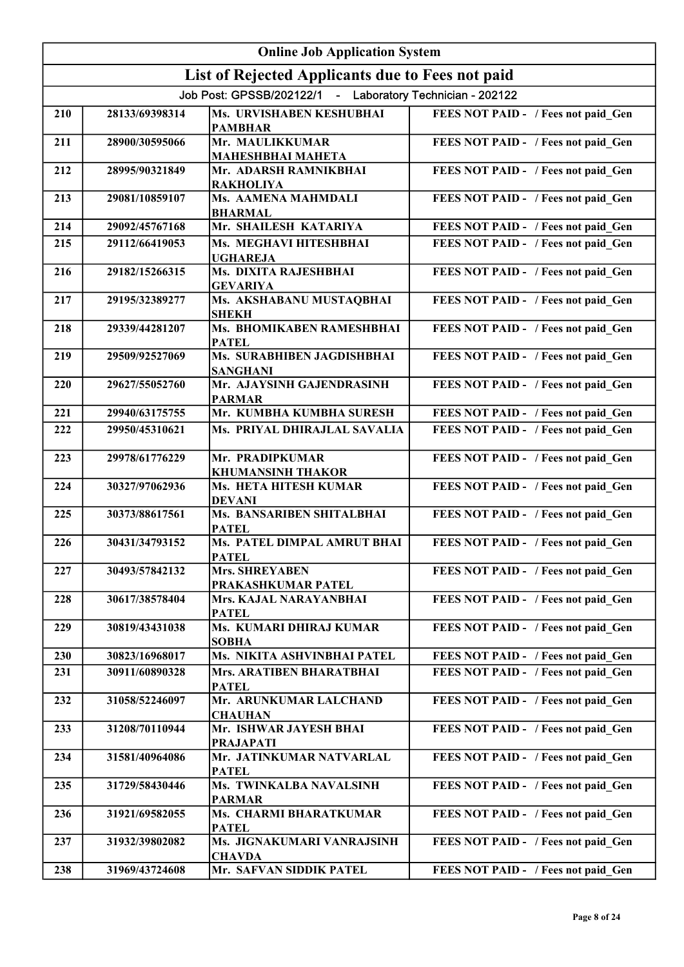|     | <b>Online Job Application System</b> |                                                           |                                     |  |
|-----|--------------------------------------|-----------------------------------------------------------|-------------------------------------|--|
|     |                                      | List of Rejected Applicants due to Fees not paid          |                                     |  |
|     |                                      | Job Post: GPSSB/202122/1 - Laboratory Technician - 202122 |                                     |  |
| 210 | 28133/69398314                       | Ms. URVISHABEN KESHUBHAI<br><b>PAMBHAR</b>                | FEES NOT PAID - / Fees not paid Gen |  |
| 211 | 28900/30595066                       | Mr. MAULIKKUMAR<br><b>MAHESHBHAI MAHETA</b>               | FEES NOT PAID - / Fees not paid_Gen |  |
| 212 | 28995/90321849                       | Mr. ADARSH RAMNIKBHAI<br><b>RAKHOLIYA</b>                 | FEES NOT PAID - / Fees not paid_Gen |  |
| 213 | 29081/10859107                       | Ms. AAMENA MAHMDALI<br><b>BHARMAL</b>                     | FEES NOT PAID - / Fees not paid_Gen |  |
| 214 | 29092/45767168                       | Mr. SHAILESH KATARIYA                                     | FEES NOT PAID - / Fees not paid Gen |  |
| 215 | 29112/66419053                       | Ms. MEGHAVI HITESHBHAI<br><b>UGHAREJA</b>                 | FEES NOT PAID - / Fees not paid Gen |  |
| 216 | 29182/15266315                       | Ms. DIXITA RAJESHBHAI<br><b>GEVARIYA</b>                  | FEES NOT PAID - / Fees not paid Gen |  |
| 217 | 29195/32389277                       | Ms. AKSHABANU MUSTAQBHAI<br><b>SHEKH</b>                  | FEES NOT PAID - / Fees not paid Gen |  |
| 218 | 29339/44281207                       | Ms. BHOMIKABEN RAMESHBHAI<br><b>PATEL</b>                 | FEES NOT PAID - / Fees not paid Gen |  |
| 219 | 29509/92527069                       | Ms. SURABHIBEN JAGDISHBHAI<br><b>SANGHANI</b>             | FEES NOT PAID - / Fees not paid Gen |  |
| 220 | 29627/55052760                       | Mr. AJAYSINH GAJENDRASINH<br><b>PARMAR</b>                | FEES NOT PAID - / Fees not paid Gen |  |
| 221 | 29940/63175755                       | Mr. KUMBHA KUMBHA SURESH                                  | FEES NOT PAID - / Fees not paid Gen |  |
| 222 | 29950/45310621                       | Ms. PRIYAL DHIRAJLAL SAVALIA                              | FEES NOT PAID - / Fees not paid Gen |  |
| 223 | 29978/61776229                       | Mr. PRADIPKUMAR<br><b>KHUMANSINH THAKOR</b>               | FEES NOT PAID - / Fees not paid_Gen |  |
| 224 | 30327/97062936                       | Ms. HETA HITESH KUMAR<br><b>DEVANI</b>                    | FEES NOT PAID - / Fees not paid_Gen |  |
| 225 | 30373/88617561                       | Ms. BANSARIBEN SHITALBHAI<br><b>PATEL</b>                 | FEES NOT PAID - / Fees not paid_Gen |  |
| 226 | 30431/34793152                       | Ms. PATEL DIMPAL AMRUT BHAI<br>PATEL                      | FEES NOT PAID - / Fees not paid Gen |  |
| 227 | 30493/57842132                       | <b>Mrs. SHREYABEN</b><br>PRAKASHKUMAR PATEL               | FEES NOT PAID - / Fees not paid Gen |  |
| 228 | 30617/38578404                       | Mrs. KAJAL NARAYANBHAI<br><b>PATEL</b>                    | FEES NOT PAID - / Fees not paid Gen |  |
| 229 | 30819/43431038                       | Ms. KUMARI DHIRAJ KUMAR<br><b>SOBHA</b>                   | FEES NOT PAID - / Fees not paid Gen |  |
| 230 | 30823/16968017                       | Ms. NIKITA ASHVINBHAI PATEL                               | FEES NOT PAID - / Fees not paid_Gen |  |
| 231 | 30911/60890328                       | Mrs. ARATIBEN BHARATBHAI<br><b>PATEL</b>                  | FEES NOT PAID - / Fees not paid Gen |  |
| 232 | 31058/52246097                       | Mr. ARUNKUMAR LALCHAND<br><b>CHAUHAN</b>                  | FEES NOT PAID - / Fees not paid_Gen |  |
| 233 | 31208/70110944                       | Mr. ISHWAR JAYESH BHAI<br><b>PRAJAPATI</b>                | FEES NOT PAID - / Fees not paid_Gen |  |
| 234 | 31581/40964086                       | Mr. JATINKUMAR NATVARLAL<br><b>PATEL</b>                  | FEES NOT PAID - / Fees not paid_Gen |  |
| 235 | 31729/58430446                       | Ms. TWINKALBA NAVALSINH<br><b>PARMAR</b>                  | FEES NOT PAID - / Fees not paid Gen |  |
| 236 | 31921/69582055                       | Ms. CHARMI BHARATKUMAR<br><b>PATEL</b>                    | FEES NOT PAID - / Fees not paid Gen |  |
| 237 | 31932/39802082                       | Ms. JIGNAKUMARI VANRAJSINH<br><b>CHAVDA</b>               | FEES NOT PAID - / Fees not paid Gen |  |
| 238 | 31969/43724608                       | Mr. SAFVAN SIDDIK PATEL                                   | FEES NOT PAID - / Fees not paid Gen |  |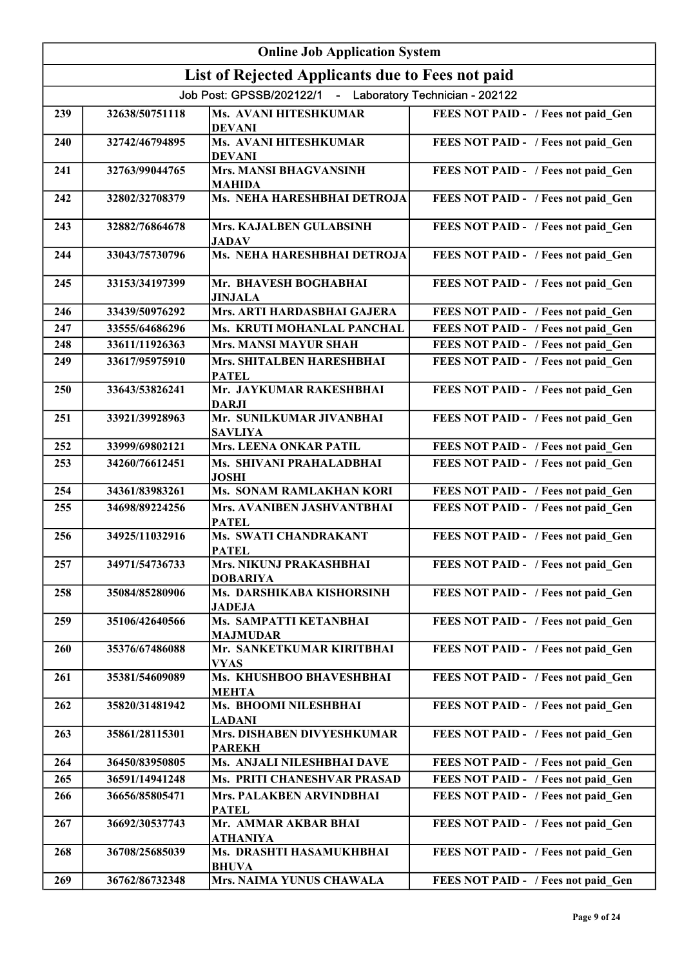|     | <b>Online Job Application System</b> |                                                           |                                     |  |
|-----|--------------------------------------|-----------------------------------------------------------|-------------------------------------|--|
|     |                                      | List of Rejected Applicants due to Fees not paid          |                                     |  |
|     |                                      | Job Post: GPSSB/202122/1 - Laboratory Technician - 202122 |                                     |  |
| 239 | 32638/50751118                       | Ms. AVANI HITESHKUMAR<br><b>DEVANI</b>                    | FEES NOT PAID - / Fees not paid_Gen |  |
| 240 | 32742/46794895                       | Ms. AVANI HITESHKUMAR<br><b>DEVANI</b>                    | FEES NOT PAID - / Fees not paid_Gen |  |
| 241 | 32763/99044765                       | <b>Mrs. MANSI BHAGVANSINH</b><br><b>MAHIDA</b>            | FEES NOT PAID - / Fees not paid_Gen |  |
| 242 | 32802/32708379                       | Ms. NEHA HARESHBHAI DETROJA                               | FEES NOT PAID - / Fees not paid_Gen |  |
| 243 | 32882/76864678                       | Mrs. KAJALBEN GULABSINH<br><b>JADAV</b>                   | FEES NOT PAID - / Fees not paid_Gen |  |
| 244 | 33043/75730796                       | Ms. NEHA HARESHBHAI DETROJA                               | FEES NOT PAID - / Fees not paid_Gen |  |
| 245 | 33153/34197399                       | Mr. BHAVESH BOGHABHAI<br><b>JINJALA</b>                   | FEES NOT PAID - / Fees not paid_Gen |  |
| 246 | 33439/50976292                       | Mrs. ARTI HARDASBHAI GAJERA                               | FEES NOT PAID - / Fees not paid Gen |  |
| 247 | 33555/64686296                       | Ms. KRUTI MOHANLAL PANCHAL                                | FEES NOT PAID - / Fees not paid Gen |  |
| 248 | 33611/11926363                       | <b>Mrs. MANSI MAYUR SHAH</b>                              | FEES NOT PAID - / Fees not paid Gen |  |
| 249 | 33617/95975910                       | Mrs. SHITALBEN HARESHBHAI<br><b>PATEL</b>                 | FEES NOT PAID - / Fees not paid Gen |  |
| 250 | 33643/53826241                       | Mr. JAYKUMAR RAKESHBHAI<br><b>DARJI</b>                   | FEES NOT PAID - / Fees not paid_Gen |  |
| 251 | 33921/39928963                       | Mr. SUNILKUMAR JIVANBHAI<br><b>SAVLIYA</b>                | FEES NOT PAID - / Fees not paid_Gen |  |
| 252 | 33999/69802121                       | <b>Mrs. LEENA ONKAR PATIL</b>                             | FEES NOT PAID - / Fees not paid Gen |  |
| 253 | 34260/76612451                       | Ms. SHIVANI PRAHALADBHAI<br><b>JOSHI</b>                  | FEES NOT PAID - / Fees not paid Gen |  |
| 254 | 34361/83983261                       | <b>Ms. SONAM RAMLAKHAN KORI</b>                           | FEES NOT PAID - / Fees not paid Gen |  |
| 255 | 34698/89224256                       | Mrs. AVANIBEN JASHVANTBHAI<br><b>PATEL</b>                | FEES NOT PAID - / Fees not paid Gen |  |
| 256 | 34925/11032916                       | Ms. SWATI CHANDRAKANT<br><b>PATEL</b>                     | FEES NOT PAID - / Fees not paid Gen |  |
| 257 | 34971/54736733                       | Mrs. NIKUNJ PRAKASHBHAI<br><b>DOBARIYA</b>                | FEES NOT PAID - / Fees not paid Gen |  |
| 258 | 35084/85280906                       | Ms. DARSHIKABA KISHORSINH<br><b>JADEJA</b>                | FEES NOT PAID - / Fees not paid Gen |  |
| 259 | 35106/42640566                       | Ms. SAMPATTI KETANBHAI<br><b>MAJMUDAR</b>                 | FEES NOT PAID - / Fees not paid Gen |  |
| 260 | 35376/67486088                       | Mr. SANKETKUMAR KIRITBHAI<br><b>VYAS</b>                  | FEES NOT PAID - / Fees not paid Gen |  |
| 261 | 35381/54609089                       | Ms. KHUSHBOO BHAVESHBHAI<br><b>MEHTA</b>                  | FEES NOT PAID - / Fees not paid Gen |  |
| 262 | 35820/31481942                       | Ms. BHOOMI NILESHBHAI<br><b>LADANI</b>                    | FEES NOT PAID - / Fees not paid Gen |  |
| 263 | 35861/28115301                       | Mrs. DISHABEN DIVYESHKUMAR<br><b>PAREKH</b>               | FEES NOT PAID - / Fees not paid Gen |  |
| 264 | 36450/83950805                       | Ms. ANJALI NILESHBHAI DAVE                                | FEES NOT PAID - / Fees not paid Gen |  |
| 265 | 36591/14941248                       | Ms. PRITI CHANESHVAR PRASAD                               | FEES NOT PAID - / Fees not paid Gen |  |
| 266 | 36656/85805471                       | Mrs. PALAKBEN ARVINDBHAI<br><b>PATEL</b>                  | FEES NOT PAID - / Fees not paid Gen |  |
| 267 | 36692/30537743                       | Mr. AMMAR AKBAR BHAI<br><b>ATHANIYA</b>                   | FEES NOT PAID - / Fees not paid Gen |  |
| 268 | 36708/25685039                       | Ms. DRASHTI HASAMUKHBHAI<br><b>BHUVA</b>                  | FEES NOT PAID - / Fees not paid_Gen |  |
| 269 | 36762/86732348                       | Mrs. NAIMA YUNUS CHAWALA                                  | FEES NOT PAID - / Fees not paid Gen |  |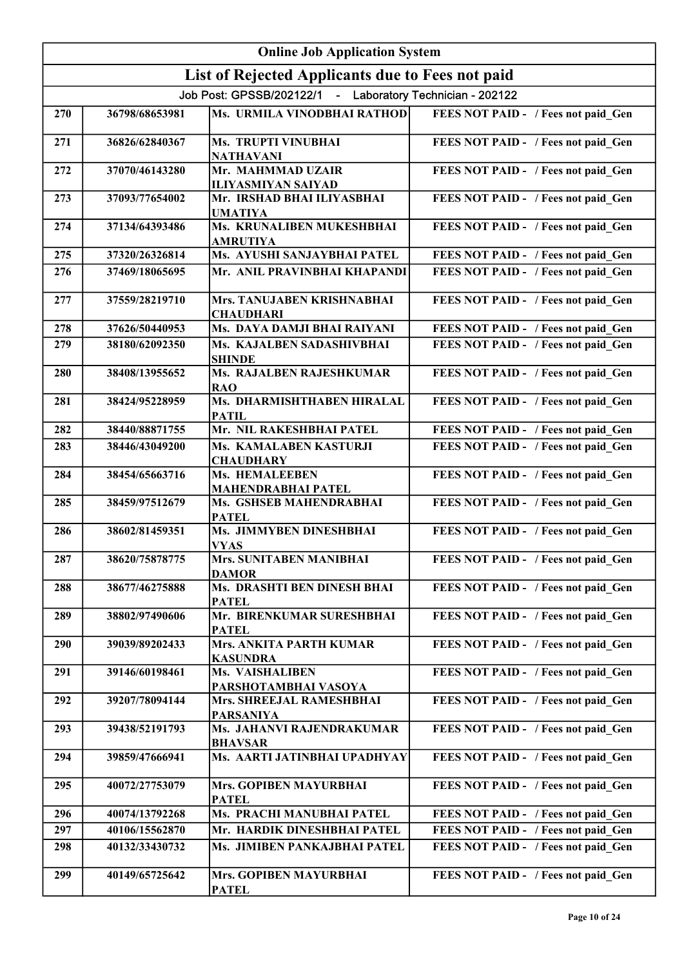|     | <b>Online Job Application System</b> |                                                           |                                     |  |
|-----|--------------------------------------|-----------------------------------------------------------|-------------------------------------|--|
|     |                                      | List of Rejected Applicants due to Fees not paid          |                                     |  |
|     |                                      | Job Post: GPSSB/202122/1 - Laboratory Technician - 202122 |                                     |  |
| 270 | 36798/68653981                       | Ms. URMILA VINODBHAI RATHOD                               | FEES NOT PAID - / Fees not paid Gen |  |
| 271 | 36826/62840367                       | Ms. TRUPTI VINUBHAI<br><b>NATHAVANI</b>                   | FEES NOT PAID - / Fees not paid_Gen |  |
| 272 | 37070/46143280                       | Mr. MAHMMAD UZAIR<br><b>ILIYASMIYAN SAIYAD</b>            | FEES NOT PAID - / Fees not paid_Gen |  |
| 273 | 37093/77654002                       | Mr. IRSHAD BHAI ILIYASBHAI<br><b>UMATIYA</b>              | FEES NOT PAID - / Fees not paid Gen |  |
| 274 | 37134/64393486                       | Ms. KRUNALIBEN MUKESHBHAI<br><b>AMRUTIYA</b>              | FEES NOT PAID - / Fees not paid_Gen |  |
| 275 | 37320/26326814                       | Ms. AYUSHI SANJAYBHAI PATEL                               | FEES NOT PAID - / Fees not paid_Gen |  |
| 276 | 37469/18065695                       | Mr. ANIL PRAVINBHAI KHAPANDI                              | FEES NOT PAID - / Fees not paid Gen |  |
| 277 | 37559/28219710                       | Mrs. TANUJABEN KRISHNABHAI<br><b>CHAUDHARI</b>            | FEES NOT PAID - / Fees not paid Gen |  |
| 278 | 37626/50440953                       | Ms. DAYA DAMJI BHAI RAIYANI                               | FEES NOT PAID - / Fees not paid Gen |  |
| 279 | 38180/62092350                       | Ms. KAJALBEN SADASHIVBHAI<br><b>SHINDE</b>                | FEES NOT PAID - / Fees not paid Gen |  |
| 280 | 38408/13955652                       | Ms. RAJALBEN RAJESHKUMAR<br><b>RAO</b>                    | FEES NOT PAID - / Fees not paid Gen |  |
| 281 | 38424/95228959                       | Ms. DHARMISHTHABEN HIRALAL<br><b>PATIL</b>                | FEES NOT PAID - / Fees not paid_Gen |  |
| 282 | 38440/88871755                       | Mr. NIL RAKESHBHAI PATEL                                  | FEES NOT PAID - / Fees not paid Gen |  |
| 283 | 38446/43049200                       | Ms. KAMALABEN KASTURJI<br><b>CHAUDHARY</b>                | FEES NOT PAID - / Fees not paid Gen |  |
| 284 | 38454/65663716                       | Ms. HEMALEEBEN<br><b>MAHENDRABHAI PATEL</b>               | FEES NOT PAID - / Fees not paid_Gen |  |
| 285 | 38459/97512679                       | Ms. GSHSEB MAHENDRABHAI<br><b>PATEL</b>                   | FEES NOT PAID - / Fees not paid_Gen |  |
| 286 | 38602/81459351                       | Ms. JIMMYBEN DINESHBHAI<br><b>VYAS</b>                    | FEES NOT PAID - / Fees not paid Gen |  |
| 287 | 38620/75878775                       | <b>Mrs. SUNITABEN MANIBHAI</b><br><b>DAMOR</b>            | FEES NOT PAID - / Fees not paid Gen |  |
| 288 | 38677/46275888                       | Ms. DRASHTI BEN DINESH BHAI<br><b>PATEL</b>               | FEES NOT PAID - / Fees not paid Gen |  |
| 289 | 38802/97490606                       | Mr. BIRENKUMAR SURESHBHAI<br><b>PATEL</b>                 | FEES NOT PAID - / Fees not paid Gen |  |
| 290 | 39039/89202433                       | <b>Mrs. ANKITA PARTH KUMAR</b><br><b>KASUNDRA</b>         | FEES NOT PAID - / Fees not paid Gen |  |
| 291 | 39146/60198461                       | Ms. VAISHALIBEN<br>PARSHOTAMBHAI VASOYA                   | FEES NOT PAID - / Fees not paid Gen |  |
| 292 | 39207/78094144                       | Mrs. SHREEJAL RAMESHBHAI<br><b>PARSANIYA</b>              | FEES NOT PAID - / Fees not paid Gen |  |
| 293 | 39438/52191793                       | Ms. JAHANVI RAJENDRAKUMAR<br><b>BHAVSAR</b>               | FEES NOT PAID - / Fees not paid_Gen |  |
| 294 | 39859/47666941                       | Ms. AARTI JATINBHAI UPADHYAY                              | FEES NOT PAID - / Fees not paid_Gen |  |
| 295 | 40072/27753079                       | Mrs. GOPIBEN MAYURBHAI<br><b>PATEL</b>                    | FEES NOT PAID - / Fees not paid Gen |  |
| 296 | 40074/13792268                       | Ms. PRACHI MANUBHAI PATEL                                 | FEES NOT PAID - / Fees not paid Gen |  |
| 297 | 40106/15562870                       | Mr. HARDIK DINESHBHAI PATEL                               | FEES NOT PAID - / Fees not paid_Gen |  |
| 298 | 40132/33430732                       | Ms. JIMIBEN PANKAJBHAI PATEL                              | FEES NOT PAID - / Fees not paid Gen |  |
| 299 | 40149/65725642                       | Mrs. GOPIBEN MAYURBHAI<br><b>PATEL</b>                    | FEES NOT PAID - / Fees not paid Gen |  |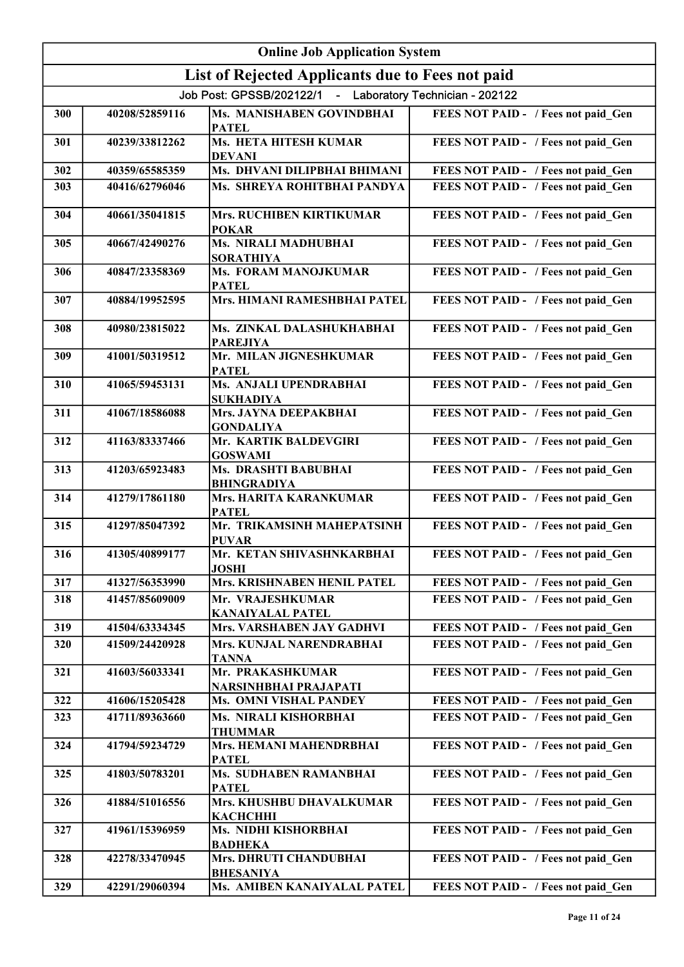|     | <b>Online Job Application System</b> |                                                           |                                     |  |
|-----|--------------------------------------|-----------------------------------------------------------|-------------------------------------|--|
|     |                                      | List of Rejected Applicants due to Fees not paid          |                                     |  |
|     |                                      | Job Post: GPSSB/202122/1 - Laboratory Technician - 202122 |                                     |  |
| 300 | 40208/52859116                       | Ms. MANISHABEN GOVINDBHAI<br><b>PATEL</b>                 | FEES NOT PAID - / Fees not paid Gen |  |
| 301 | 40239/33812262                       | Ms. HETA HITESH KUMAR<br><b>DEVANI</b>                    | FEES NOT PAID - / Fees not paid_Gen |  |
| 302 | 40359/65585359                       | Ms. DHVANI DILIPBHAI BHIMANI                              | FEES NOT PAID - / Fees not paid Gen |  |
| 303 | 40416/62796046                       | Ms. SHREYA ROHITBHAI PANDYA                               | FEES NOT PAID - / Fees not paid Gen |  |
| 304 | 40661/35041815                       | Mrs. RUCHIBEN KIRTIKUMAR<br><b>POKAR</b>                  | FEES NOT PAID - / Fees not paid_Gen |  |
| 305 | 40667/42490276                       | Ms. NIRALI MADHUBHAI<br><b>SORATHIYA</b>                  | FEES NOT PAID - / Fees not paid Gen |  |
| 306 | 40847/23358369                       | Ms. FORAM MANOJKUMAR<br><b>PATEL</b>                      | FEES NOT PAID - / Fees not paid Gen |  |
| 307 | 40884/19952595                       | Mrs. HIMANI RAMESHBHAI PATEL                              | FEES NOT PAID - / Fees not paid Gen |  |
| 308 | 40980/23815022                       | Ms. ZINKAL DALASHUKHABHAI<br><b>PAREJIYA</b>              | FEES NOT PAID - / Fees not paid Gen |  |
| 309 | 41001/50319512                       | Mr. MILAN JIGNESHKUMAR<br><b>PATEL</b>                    | FEES NOT PAID - / Fees not paid Gen |  |
| 310 | 41065/59453131                       | Ms. ANJALI UPENDRABHAI<br><b>SUKHADIYA</b>                | FEES NOT PAID - / Fees not paid Gen |  |
| 311 | 41067/18586088                       | Mrs. JAYNA DEEPAKBHAI<br><b>GONDALIYA</b>                 | FEES NOT PAID - / Fees not paid Gen |  |
| 312 | 41163/83337466                       | Mr. KARTIK BALDEVGIRI<br><b>GOSWAMI</b>                   | FEES NOT PAID - / Fees not paid Gen |  |
| 313 | 41203/65923483                       | Ms. DRASHTI BABUBHAI<br><b>BHINGRADIYA</b>                | FEES NOT PAID - / Fees not paid_Gen |  |
| 314 | 41279/17861180                       | Mrs. HARITA KARANKUMAR<br><b>PATEL</b>                    | FEES NOT PAID - / Fees not paid_Gen |  |
| 315 | 41297/85047392                       | Mr. TRIKAMSINH MAHEPATSINH<br><b>PUVAR</b>                | FEES NOT PAID - / Fees not paid_Gen |  |
| 316 | 41305/40899177                       | Mr. KETAN SHIVASHNKARBHAI<br><b>JOSHI</b>                 | FEES NOT PAID - / Fees not paid Gen |  |
| 317 | 41327/56353990                       | Mrs. KRISHNABEN HENIL PATEL                               | FEES NOT PAID - / Fees not paid Gen |  |
| 318 | 41457/85609009                       | Mr. VRAJESHKUMAR<br><b>KANAIYALAL PATEL</b>               | FEES NOT PAID - / Fees not paid Gen |  |
| 319 | 41504/63334345                       | Mrs. VARSHABEN JAY GADHVI                                 | FEES NOT PAID - / Fees not paid Gen |  |
| 320 | 41509/24420928                       | Mrs. KUNJAL NARENDRABHAI<br><b>TANNA</b>                  | FEES NOT PAID - / Fees not paid Gen |  |
| 321 | 41603/56033341                       | Mr. PRAKASHKUMAR<br>NARSINHBHAI PRAJAPATI                 | FEES NOT PAID - / Fees not paid Gen |  |
| 322 | 41606/15205428                       | Ms. OMNI VISHAL PANDEY                                    | FEES NOT PAID - / Fees not paid Gen |  |
| 323 | 41711/89363660                       | Ms. NIRALI KISHORBHAI<br><b>THUMMAR</b>                   | FEES NOT PAID - / Fees not paid Gen |  |
| 324 | 41794/59234729                       | Mrs. HEMANI MAHENDRBHAI<br><b>PATEL</b>                   | FEES NOT PAID - / Fees not paid Gen |  |
| 325 | 41803/50783201                       | Ms. SUDHABEN RAMANBHAI<br><b>PATEL</b>                    | FEES NOT PAID - / Fees not paid Gen |  |
| 326 | 41884/51016556                       | Mrs. KHUSHBU DHAVALKUMAR<br><b>КАСНСННІ</b>               | FEES NOT PAID - / Fees not paid Gen |  |
| 327 | 41961/15396959                       | Ms. NIDHI KISHORBHAI<br><b>BADHEKA</b>                    | FEES NOT PAID - / Fees not paid Gen |  |
| 328 | 42278/33470945                       | Mrs. DHRUTI CHANDUBHAI<br><b>BHESANIYA</b>                | FEES NOT PAID - / Fees not paid Gen |  |
| 329 | 42291/29060394                       | Ms. AMIBEN KANAIYALAL PATEL                               | FEES NOT PAID - / Fees not paid Gen |  |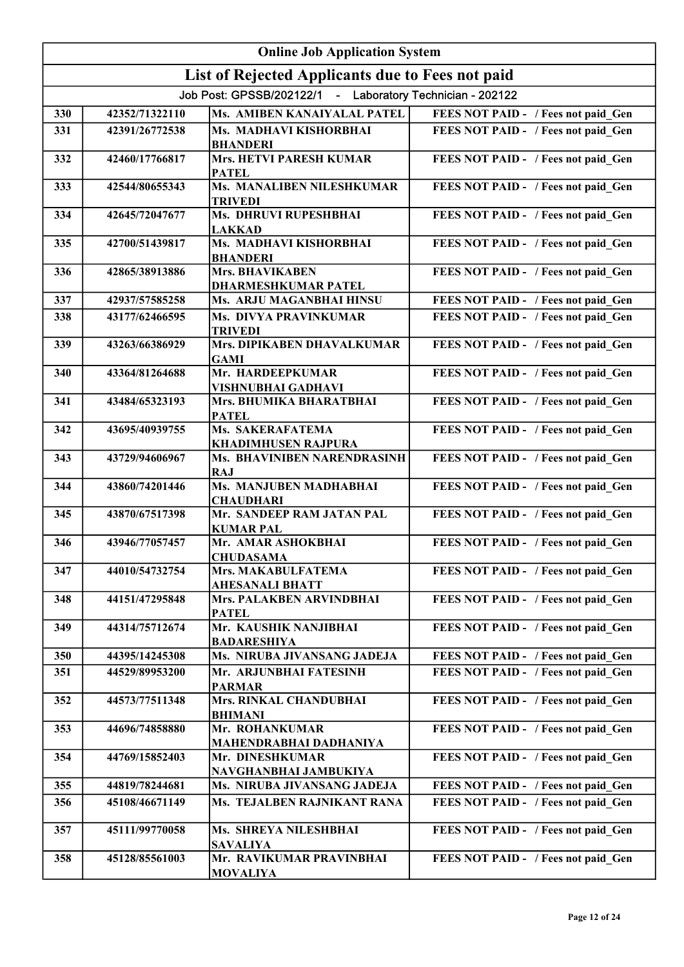|     | <b>Online Job Application System</b> |                                                           |                                     |  |
|-----|--------------------------------------|-----------------------------------------------------------|-------------------------------------|--|
|     |                                      | List of Rejected Applicants due to Fees not paid          |                                     |  |
|     |                                      | Job Post: GPSSB/202122/1 - Laboratory Technician - 202122 |                                     |  |
| 330 | 42352/71322110                       | Ms. AMIBEN KANAIYALAL PATEL                               | FEES NOT PAID - / Fees not paid_Gen |  |
| 331 | 42391/26772538                       | Ms. MADHAVI KISHORBHAI<br><b>BHANDERI</b>                 | FEES NOT PAID - / Fees not paid Gen |  |
| 332 | 42460/17766817                       | <b>Mrs. HETVI PARESH KUMAR</b><br><b>PATEL</b>            | FEES NOT PAID - / Fees not paid Gen |  |
| 333 | 42544/80655343                       | Ms. MANALIBEN NILESHKUMAR<br><b>TRIVEDI</b>               | FEES NOT PAID - / Fees not paid Gen |  |
| 334 | 42645/72047677                       | Ms. DHRUVI RUPESHBHAI<br><b>LAKKAD</b>                    | FEES NOT PAID - / Fees not paid Gen |  |
| 335 | 42700/51439817                       | Ms. MADHAVI KISHORBHAI<br><b>BHANDERI</b>                 | FEES NOT PAID - / Fees not paid_Gen |  |
| 336 | 42865/38913886                       | <b>Mrs. BHAVIKABEN</b><br><b>DHARMESHKUMAR PATEL</b>      | FEES NOT PAID - / Fees not paid Gen |  |
| 337 | 42937/57585258                       | Ms. ARJU MAGANBHAI HINSU                                  | FEES NOT PAID - / Fees not paid Gen |  |
| 338 | 43177/62466595                       | <b>Ms. DIVYA PRAVINKUMAR</b><br><b>TRIVEDI</b>            | FEES NOT PAID - / Fees not paid Gen |  |
| 339 | 43263/66386929                       | Mrs. DIPIKABEN DHAVALKUMAR<br><b>GAMI</b>                 | FEES NOT PAID - / Fees not paid Gen |  |
| 340 | 43364/81264688                       | Mr. HARDEEPKUMAR<br>VISHNUBHAI GADHAVI                    | FEES NOT PAID - / Fees not paid Gen |  |
| 341 | 43484/65323193                       | Mrs. BHUMIKA BHARATBHAI<br><b>PATEL</b>                   | FEES NOT PAID - / Fees not paid Gen |  |
| 342 | 43695/40939755                       | <b>Ms. SAKERAFATEMA</b><br><b>KHADIMHUSEN RAJPURA</b>     | FEES NOT PAID - / Fees not paid_Gen |  |
| 343 | 43729/94606967                       | Ms. BHAVINIBEN NARENDRASINH<br><b>RAJ</b>                 | FEES NOT PAID - / Fees not paid Gen |  |
| 344 | 43860/74201446                       | Ms. MANJUBEN MADHABHAI<br><b>CHAUDHARI</b>                | FEES NOT PAID - / Fees not paid_Gen |  |
| 345 | 43870/67517398                       | Mr. SANDEEP RAM JATAN PAL<br><b>KUMAR PAL</b>             | FEES NOT PAID - / Fees not paid_Gen |  |
| 346 | 43946/77057457                       | Mr. AMAR ASHOKBHAI<br><b>CHUDASAMA</b>                    | FEES NOT PAID - / Fees not paid Gen |  |
| 347 | 44010/54732754                       | Mrs. MAKABULFATEMA<br><b>AHESANALI BHATT</b>              | FEES NOT PAID - / Fees not paid Gen |  |
| 348 | 44151/47295848                       | Mrs. PALAKBEN ARVINDBHAI<br><b>PATEL</b>                  | FEES NOT PAID - / Fees not paid Gen |  |
| 349 | 44314/75712674                       | Mr. KAUSHIK NANJIBHAI<br><b>BADARESHIYA</b>               | FEES NOT PAID - / Fees not paid Gen |  |
| 350 | 44395/14245308                       | Ms. NIRUBA JIVANSANG JADEJA                               | FEES NOT PAID - / Fees not paid Gen |  |
| 351 | 44529/89953200                       | Mr. ARJUNBHAI FATESINH<br><b>PARMAR</b>                   | FEES NOT PAID - / Fees not paid Gen |  |
| 352 | 44573/77511348                       | Mrs. RINKAL CHANDUBHAI<br><b>BHIMANI</b>                  | FEES NOT PAID - / Fees not paid Gen |  |
| 353 | 44696/74858880                       | Mr. ROHANKUMAR<br>MAHENDRABHAI DADHANIYA                  | FEES NOT PAID - / Fees not paid Gen |  |
| 354 | 44769/15852403                       | Mr. DINESHKUMAR<br>NAVGHANBHAI JAMBUKIYA                  | FEES NOT PAID - / Fees not paid Gen |  |
| 355 | 44819/78244681                       | Ms. NIRUBA JIVANSANG JADEJA                               | FEES NOT PAID - / Fees not paid Gen |  |
| 356 | 45108/46671149                       | Ms. TEJALBEN RAJNIKANT RANA                               | FEES NOT PAID - / Fees not paid Gen |  |
| 357 | 45111/99770058                       | Ms. SHREYA NILESHBHAI<br><b>SAVALIYA</b>                  | FEES NOT PAID - / Fees not paid Gen |  |
| 358 | 45128/85561003                       | Mr. RAVIKUMAR PRAVINBHAI<br><b>MOVALIYA</b>               | FEES NOT PAID - / Fees not paid Gen |  |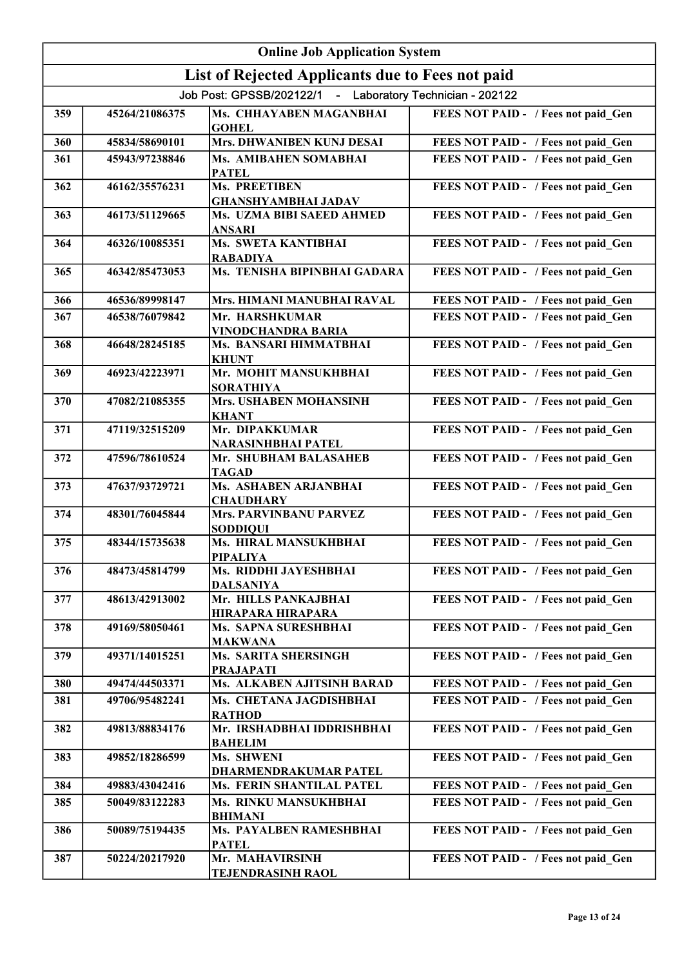|     | <b>Online Job Application System</b> |                                                           |                                     |  |
|-----|--------------------------------------|-----------------------------------------------------------|-------------------------------------|--|
|     |                                      | List of Rejected Applicants due to Fees not paid          |                                     |  |
|     |                                      | Job Post: GPSSB/202122/1 - Laboratory Technician - 202122 |                                     |  |
| 359 | 45264/21086375                       | Ms. CHHAYABEN MAGANBHAI<br><b>GOHEL</b>                   | FEES NOT PAID - / Fees not paid Gen |  |
| 360 | 45834/58690101                       | Mrs. DHWANIBEN KUNJ DESAI                                 | FEES NOT PAID - / Fees not paid Gen |  |
| 361 | 45943/97238846                       | Ms. AMIBAHEN SOMABHAI<br><b>PATEL</b>                     | FEES NOT PAID - / Fees not paid Gen |  |
| 362 | 46162/35576231                       | Ms. PREETIBEN<br><b>GHANSHYAMBHAI JADAV</b>               | FEES NOT PAID - / Fees not paid Gen |  |
| 363 | 46173/51129665                       | Ms. UZMA BIBI SAEED AHMED<br><b>ANSARI</b>                | FEES NOT PAID - / Fees not paid_Gen |  |
| 364 | 46326/10085351                       | <b>Ms. SWETA KANTIBHAI</b><br><b>RABADIYA</b>             | FEES NOT PAID - / Fees not paid Gen |  |
| 365 | 46342/85473053                       | Ms. TENISHA BIPINBHAI GADARA                              | FEES NOT PAID - / Fees not paid Gen |  |
| 366 | 46536/89998147                       | Mrs. HIMANI MANUBHAI RAVAL                                | FEES NOT PAID - / Fees not paid Gen |  |
| 367 | 46538/76079842                       | Mr. HARSHKUMAR<br><b>VINODCHANDRA BARIA</b>               | FEES NOT PAID - / Fees not paid Gen |  |
| 368 | 46648/28245185                       | Ms. BANSARI HIMMATBHAI<br><b>KHUNT</b>                    | FEES NOT PAID - / Fees not paid Gen |  |
| 369 | 46923/42223971                       | Mr. MOHIT MANSUKHBHAI<br><b>SORATHIYA</b>                 | FEES NOT PAID - / Fees not paid Gen |  |
| 370 | 47082/21085355                       | Mrs. USHABEN MOHANSINH<br><b>KHANT</b>                    | FEES NOT PAID - / Fees not paid_Gen |  |
| 371 | 47119/32515209                       | Mr. DIPAKKUMAR<br>NARASINHBHAI PATEL                      | FEES NOT PAID - / Fees not paid Gen |  |
| 372 | 47596/78610524                       | Mr. SHUBHAM BALASAHEB<br><b>TAGAD</b>                     | FEES NOT PAID - / Fees not paid_Gen |  |
| 373 | 47637/93729721                       | Ms. ASHABEN ARJANBHAI<br><b>CHAUDHARY</b>                 | FEES NOT PAID - / Fees not paid_Gen |  |
| 374 | 48301/76045844                       | <b>Mrs. PARVINBANU PARVEZ</b><br><b>SODDIQUI</b>          | FEES NOT PAID - / Fees not paid_Gen |  |
| 375 | 48344/15735638                       | Ms. HIRAL MANSUKHBHAI<br><b>PIPALIYA</b>                  | FEES NOT PAID - / Fees not paid_Gen |  |
| 376 | 48473/45814799                       | Ms. RIDDHI JAYESHBHAI<br><b>DALSANIYA</b>                 | FEES NOT PAID - / Fees not paid Gen |  |
| 377 | 48613/42913002                       | Mr. HILLS PANKAJBHAI<br>HIRAPARA HIRAPARA                 | FEES NOT PAID - / Fees not paid Gen |  |
| 378 | 49169/58050461                       | Ms. SAPNA SURESHBHAI<br><b>MAKWANA</b>                    | FEES NOT PAID - / Fees not paid Gen |  |
| 379 | 49371/14015251                       | <b>Ms. SARITA SHERSINGH</b><br><b>PRAJAPATI</b>           | FEES NOT PAID - / Fees not paid Gen |  |
| 380 | 49474/44503371                       | Ms. ALKABEN AJITSINH BARAD                                | FEES NOT PAID - / Fees not paid Gen |  |
| 381 | 49706/95482241                       | Ms. CHETANA JAGDISHBHAI<br><b>RATHOD</b>                  | FEES NOT PAID - / Fees not paid Gen |  |
| 382 | 49813/88834176                       | Mr. IRSHADBHAI IDDRISHBHAI<br><b>BAHELIM</b>              | FEES NOT PAID - / Fees not paid_Gen |  |
| 383 | 49852/18286599                       | Ms. SHWENI<br>DHARMENDRAKUMAR PATEL                       | FEES NOT PAID - / Fees not paid Gen |  |
| 384 | 49883/43042416                       | Ms. FERIN SHANTILAL PATEL                                 | FEES NOT PAID - / Fees not paid Gen |  |
| 385 | 50049/83122283                       | Ms. RINKU MANSUKHBHAI<br><b>BHIMANI</b>                   | FEES NOT PAID - / Fees not paid Gen |  |
| 386 | 50089/75194435                       | Ms. PAYALBEN RAMESHBHAI<br><b>PATEL</b>                   | FEES NOT PAID - / Fees not paid Gen |  |
| 387 | 50224/20217920                       | Mr. MAHAVIRSINH<br><b>TEJENDRASINH RAOL</b>               | FEES NOT PAID - / Fees not paid Gen |  |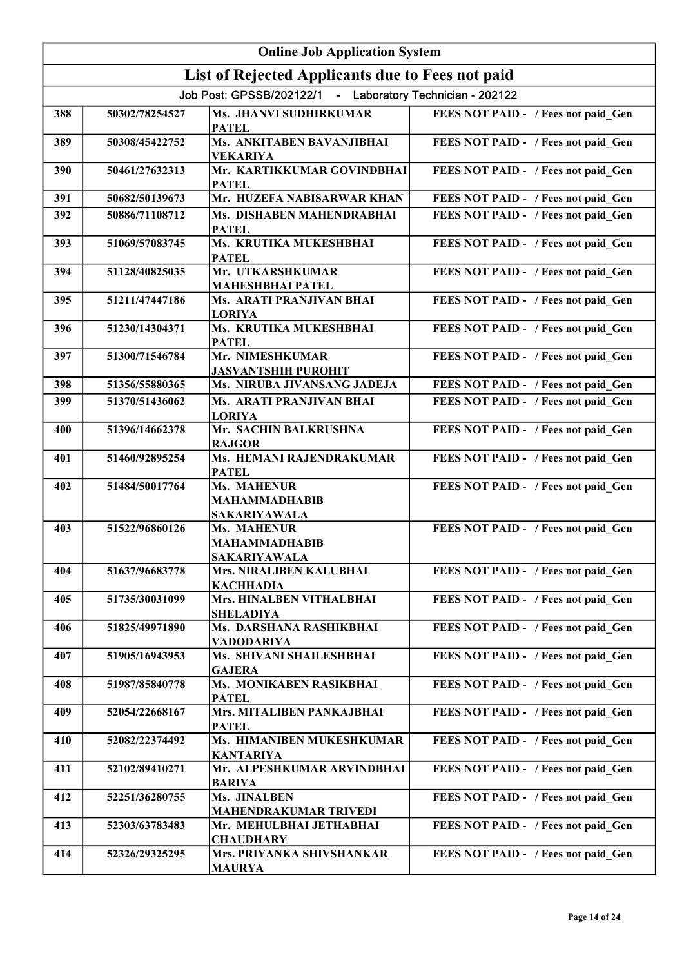| <b>Online Job Application System</b> |                |                                                                   |                                     |
|--------------------------------------|----------------|-------------------------------------------------------------------|-------------------------------------|
|                                      |                | List of Rejected Applicants due to Fees not paid                  |                                     |
|                                      |                | Job Post: GPSSB/202122/1 - Laboratory Technician - 202122         |                                     |
| 388                                  | 50302/78254527 | Ms. JHANVI SUDHIRKUMAR<br><b>PATEL</b>                            | FEES NOT PAID - / Fees not paid Gen |
| 389                                  | 50308/45422752 | Ms. ANKITABEN BAVANJIBHAI<br><b>VEKARIYA</b>                      | FEES NOT PAID - / Fees not paid_Gen |
| 390                                  | 50461/27632313 | Mr. KARTIKKUMAR GOVINDBHAI<br><b>PATEL</b>                        | FEES NOT PAID - / Fees not paid_Gen |
| 391                                  | 50682/50139673 | Mr. HUZEFA NABISARWAR KHAN                                        | FEES NOT PAID - / Fees not paid Gen |
| 392                                  | 50886/71108712 | Ms. DISHABEN MAHENDRABHAI<br><b>PATEL</b>                         | FEES NOT PAID - / Fees not paid Gen |
| 393                                  | 51069/57083745 | Ms. KRUTIKA MUKESHBHAI<br><b>PATEL</b>                            | FEES NOT PAID - / Fees not paid Gen |
| 394                                  | 51128/40825035 | Mr. UTKARSHKUMAR<br><b>MAHESHBHAI PATEL</b>                       | FEES NOT PAID - / Fees not paid Gen |
| 395                                  | 51211/47447186 | Ms. ARATI PRANJIVAN BHAI<br><b>LORIYA</b>                         | FEES NOT PAID - / Fees not paid Gen |
| 396                                  | 51230/14304371 | Ms. KRUTIKA MUKESHBHAI<br><b>PATEL</b>                            | FEES NOT PAID - / Fees not paid Gen |
| 397                                  | 51300/71546784 | Mr. NIMESHKUMAR<br><b>JASVANTSHIH PUROHIT</b>                     | FEES NOT PAID - / Fees not paid Gen |
| 398                                  | 51356/55880365 | Ms. NIRUBA JIVANSANG JADEJA                                       | FEES NOT PAID - / Fees not paid Gen |
| 399                                  | 51370/51436062 | Ms. ARATI PRANJIVAN BHAI<br><b>LORIYA</b>                         | FEES NOT PAID - / Fees not paid Gen |
| 400                                  | 51396/14662378 | Mr. SACHIN BALKRUSHNA<br><b>RAJGOR</b>                            | FEES NOT PAID - / Fees not paid_Gen |
| 401                                  | 51460/92895254 | Ms. HEMANI RAJENDRAKUMAR<br><b>PATEL</b>                          | FEES NOT PAID - / Fees not paid_Gen |
| 402                                  | 51484/50017764 | Ms. MAHENUR<br><b>MAHAMMADHABIB</b><br><b>SAKARIYAWALA</b>        | FEES NOT PAID - / Fees not paid Gen |
| 403                                  | 51522/96860126 | <b>Ms. MAHENUR</b><br><b>MAHAMMADHABIB</b><br><b>SAKARIYAWALA</b> | FEES NOT PAID - / Fees not paid_Gen |
| 404                                  | 51637/96683778 | Mrs. NIRALIBEN KALUBHAI<br><b>KACHHADIA</b>                       | FEES NOT PAID - / Fees not paid Gen |
| 405                                  | 51735/30031099 | Mrs. HINALBEN VITHALBHAI<br><b>SHELADIYA</b>                      | FEES NOT PAID - / Fees not paid Gen |
| 406                                  | 51825/49971890 | Ms. DARSHANA RASHIKBHAI<br><b>VADODARIYA</b>                      | FEES NOT PAID - / Fees not paid Gen |
| 407                                  | 51905/16943953 | Ms. SHIVANI SHAILESHBHAI<br><b>GAJERA</b>                         | FEES NOT PAID - / Fees not paid Gen |
| 408                                  | 51987/85840778 | Ms. MONIKABEN RASIKBHAI<br><b>PATEL</b>                           | FEES NOT PAID - / Fees not paid_Gen |
| 409                                  | 52054/22668167 | Mrs. MITALIBEN PANKAJBHAI<br><b>PATEL</b>                         | FEES NOT PAID - / Fees not paid Gen |
| 410                                  | 52082/22374492 | Ms. HIMANIBEN MUKESHKUMAR<br><b>KANTARIYA</b>                     | FEES NOT PAID - / Fees not paid Gen |
| 411                                  | 52102/89410271 | Mr. ALPESHKUMAR ARVINDBHAI<br><b>BARIYA</b>                       | FEES NOT PAID - / Fees not paid_Gen |
| 412                                  | 52251/36280755 | Ms. JINALBEN<br><b>MAHENDRAKUMAR TRIVEDI</b>                      | FEES NOT PAID - / Fees not paid Gen |
| 413                                  | 52303/63783483 | Mr. MEHULBHAI JETHABHAI<br><b>CHAUDHARY</b>                       | FEES NOT PAID - / Fees not paid Gen |
| 414                                  | 52326/29325295 | Mrs. PRIYANKA SHIVSHANKAR<br><b>MAURYA</b>                        | FEES NOT PAID - / Fees not paid Gen |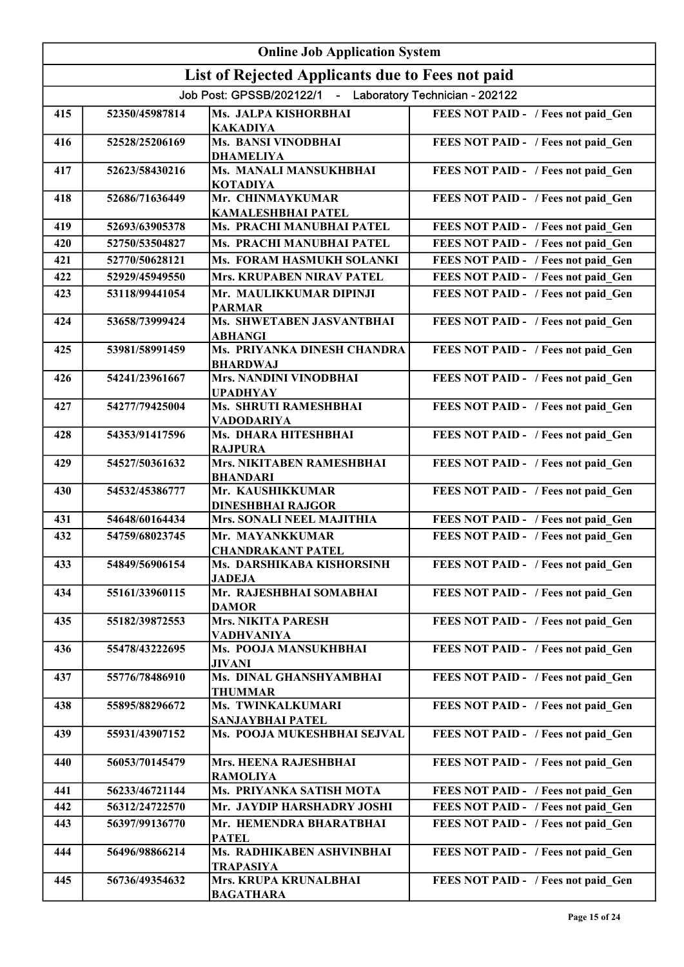|     | <b>Online Job Application System</b> |                                                           |                                     |  |
|-----|--------------------------------------|-----------------------------------------------------------|-------------------------------------|--|
|     |                                      | List of Rejected Applicants due to Fees not paid          |                                     |  |
|     |                                      | Job Post: GPSSB/202122/1 - Laboratory Technician - 202122 |                                     |  |
| 415 | 52350/45987814                       | Ms. JALPA KISHORBHAI<br><b>KAKADIYA</b>                   | FEES NOT PAID - / Fees not paid Gen |  |
| 416 | 52528/25206169                       | <b>Ms. BANSI VINODBHAI</b><br><b>DHAMELIYA</b>            | FEES NOT PAID - / Fees not paid Gen |  |
| 417 | 52623/58430216                       | <b>Ms. MANALI MANSUKHBHAI</b><br><b>KOTADIYA</b>          | FEES NOT PAID - / Fees not paid_Gen |  |
| 418 | 52686/71636449                       | Mr. CHINMAYKUMAR<br><b>KAMALESHBHAI PATEL</b>             | FEES NOT PAID - / Fees not paid_Gen |  |
| 419 | 52693/63905378                       | Ms. PRACHI MANUBHAI PATEL                                 | FEES NOT PAID - / Fees not paid Gen |  |
| 420 | 52750/53504827                       | <b>Ms. PRACHI MANUBHAI PATEL</b>                          | FEES NOT PAID - / Fees not paid Gen |  |
| 421 | 52770/50628121                       | Ms. FORAM HASMUKH SOLANKI                                 | FEES NOT PAID - / Fees not paid Gen |  |
| 422 | 52929/45949550                       | <b>Mrs. KRUPABEN NIRAV PATEL</b>                          | FEES NOT PAID - / Fees not paid_Gen |  |
| 423 | 53118/99441054                       | Mr. MAULIKKUMAR DIPINJI<br><b>PARMAR</b>                  | FEES NOT PAID - / Fees not paid Gen |  |
| 424 | 53658/73999424                       | Ms. SHWETABEN JASVANTBHAI<br><b>ABHANGI</b>               | FEES NOT PAID - / Fees not paid_Gen |  |
| 425 | 53981/58991459                       | Ms. PRIYANKA DINESH CHANDRA<br><b>BHARDWAJ</b>            | FEES NOT PAID - / Fees not paid_Gen |  |
| 426 | 54241/23961667                       | <b>Mrs. NANDINI VINODBHAI</b><br><b>UPADHYAY</b>          | FEES NOT PAID - / Fees not paid_Gen |  |
| 427 | 54277/79425004                       | Ms. SHRUTI RAMESHBHAI<br>VADODARIYA                       | FEES NOT PAID - / Fees not paid Gen |  |
| 428 | 54353/91417596                       | Ms. DHARA HITESHBHAI<br><b>RAJPURA</b>                    | FEES NOT PAID - / Fees not paid_Gen |  |
| 429 | 54527/50361632                       | Mrs. NIKITABEN RAMESHBHAI<br><b>BHANDARI</b>              | FEES NOT PAID - / Fees not paid_Gen |  |
| 430 | 54532/45386777                       | Mr. KAUSHIKKUMAR<br><b>DINESHBHAI RAJGOR</b>              | FEES NOT PAID - / Fees not paid Gen |  |
| 431 | 54648/60164434                       | Mrs. SONALI NEEL MAJITHIA                                 | FEES NOT PAID - / Fees not paid Gen |  |
| 432 | 54759/68023745                       | Mr. MAYANKKUMAR<br><b>CHANDRAKANT PATEL</b>               | FEES NOT PAID - / Fees not paid Gen |  |
| 433 | 54849/56906154                       | Ms. DARSHIKABA KISHORSINH<br><b>JADEJA</b>                | FEES NOT PAID - / Fees not paid Gen |  |
| 434 | 55161/33960115                       | Mr. RAJESHBHAI SOMABHAI<br><b>DAMOR</b>                   | FEES NOT PAID - / Fees not paid Gen |  |
| 435 | 55182/39872553                       | <b>Mrs. NIKITA PARESH</b><br><b>VADHVANIYA</b>            | FEES NOT PAID - / Fees not paid_Gen |  |
| 436 | 55478/43222695                       | Ms. POOJA MANSUKHBHAI<br><b>JIVANI</b>                    | FEES NOT PAID - / Fees not paid Gen |  |
| 437 | 55776/78486910                       | Ms. DINAL GHANSHYAMBHAI<br><b>THUMMAR</b>                 | FEES NOT PAID - / Fees not paid Gen |  |
| 438 | 55895/88296672                       | Ms. TWINKALKUMARI<br>SANJAYBHAI PATEL                     | FEES NOT PAID - / Fees not paid Gen |  |
| 439 | 55931/43907152                       | Ms. POOJA MUKESHBHAI SEJVAL                               | FEES NOT PAID - / Fees not paid Gen |  |
| 440 | 56053/70145479                       | Mrs. HEENA RAJESHBHAI<br><b>RAMOLIYA</b>                  | FEES NOT PAID - / Fees not paid Gen |  |
| 441 | 56233/46721144                       | Ms. PRIYANKA SATISH MOTA                                  | FEES NOT PAID - / Fees not paid Gen |  |
| 442 | 56312/24722570                       | Mr. JAYDIP HARSHADRY JOSHI                                | FEES NOT PAID - / Fees not paid Gen |  |
| 443 | 56397/99136770                       | Mr. HEMENDRA BHARATBHAI<br><b>PATEL</b>                   | FEES NOT PAID - / Fees not paid_Gen |  |
| 444 | 56496/98866214                       | Ms. RADHIKABEN ASHVINBHAI<br><b>TRAPASIYA</b>             | FEES NOT PAID - / Fees not paid_Gen |  |
| 445 | 56736/49354632                       | Mrs. KRUPA KRUNALBHAI<br><b>BAGATHARA</b>                 | FEES NOT PAID - / Fees not paid Gen |  |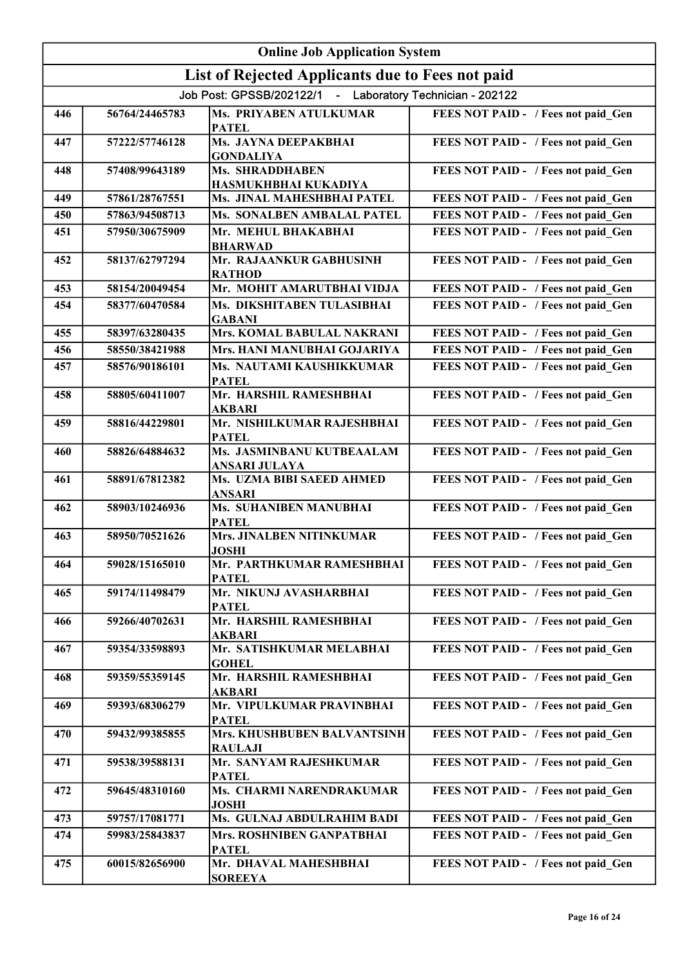|     | <b>Online Job Application System</b> |                                                           |                                     |  |
|-----|--------------------------------------|-----------------------------------------------------------|-------------------------------------|--|
|     |                                      | List of Rejected Applicants due to Fees not paid          |                                     |  |
|     |                                      | Job Post: GPSSB/202122/1 - Laboratory Technician - 202122 |                                     |  |
| 446 | 56764/24465783                       | Ms. PRIYABEN ATULKUMAR<br><b>PATEL</b>                    | FEES NOT PAID - / Fees not paid Gen |  |
| 447 | 57222/57746128                       | Ms. JAYNA DEEPAKBHAI<br><b>GONDALIYA</b>                  | FEES NOT PAID - / Fees not paid Gen |  |
| 448 | 57408/99643189                       | <b>Ms. SHRADDHABEN</b><br>HASMUKHBHAI KUKADIYA            | FEES NOT PAID - / Fees not paid Gen |  |
| 449 | 57861/28767551                       | Ms. JINAL MAHESHBHAI PATEL                                | FEES NOT PAID - / Fees not paid Gen |  |
| 450 | 57863/94508713                       | Ms. SONALBEN AMBALAL PATEL                                | FEES NOT PAID - / Fees not paid Gen |  |
| 451 | 57950/30675909                       | Mr. MEHUL BHAKABHAI<br><b>BHARWAD</b>                     | FEES NOT PAID - / Fees not paid_Gen |  |
| 452 | 58137/62797294                       | Mr. RAJAANKUR GABHUSINH<br><b>RATHOD</b>                  | FEES NOT PAID - / Fees not paid Gen |  |
| 453 | 58154/20049454                       | Mr. MOHIT AMARUTBHAI VIDJA                                | FEES NOT PAID - / Fees not paid Gen |  |
| 454 | 58377/60470584                       | Ms. DIKSHITABEN TULASIBHAI<br><b>GABANI</b>               | FEES NOT PAID - / Fees not paid Gen |  |
| 455 | 58397/63280435                       | Mrs. KOMAL BABULAL NAKRANI                                | FEES NOT PAID - / Fees not paid Gen |  |
| 456 | 58550/38421988                       | Mrs. HANI MANUBHAI GOJARIYA                               | FEES NOT PAID - / Fees not paid Gen |  |
| 457 | 58576/90186101                       | Ms. NAUTAMI KAUSHIKKUMAR<br><b>PATEL</b>                  | FEES NOT PAID - / Fees not paid Gen |  |
| 458 | 58805/60411007                       | Mr. HARSHIL RAMESHBHAI<br><b>AKBARI</b>                   | FEES NOT PAID - / Fees not paid_Gen |  |
| 459 | 58816/44229801                       | Mr. NISHILKUMAR RAJESHBHAI<br><b>PATEL</b>                | FEES NOT PAID - / Fees not paid Gen |  |
| 460 | 58826/64884632                       | Ms. JASMINBANU KUTBEAALAM<br><b>ANSARI JULAYA</b>         | FEES NOT PAID - / Fees not paid Gen |  |
| 461 | 58891/67812382                       | Ms. UZMA BIBI SAEED AHMED<br><b>ANSARI</b>                | FEES NOT PAID - / Fees not paid Gen |  |
| 462 | 58903/10246936                       | <b>Ms. SUHANIBEN MANUBHAI</b><br><b>PATEL</b>             | FEES NOT PAID - / Fees not paid Gen |  |
| 463 | 58950/70521626                       | Mrs. JINALBEN NITINKUMAR<br><b>JOSHI</b>                  | FEES NOT PAID - / Fees not paid Gen |  |
| 464 | 59028/15165010                       | Mr. PARTHKUMAR RAMESHBHAI<br><b>PATEL</b>                 | FEES NOT PAID - / Fees not paid Gen |  |
| 465 | 59174/11498479                       | Mr. NIKUNJ AVASHARBHAI<br><b>PATEL</b>                    | FEES NOT PAID - / Fees not paid Gen |  |
| 466 | 59266/40702631                       | Mr. HARSHIL RAMESHBHAI<br><b>AKBARI</b>                   | FEES NOT PAID - / Fees not paid_Gen |  |
| 467 | 59354/33598893                       | Mr. SATISHKUMAR MELABHAI<br><b>GOHEL</b>                  | FEES NOT PAID - / Fees not paid Gen |  |
| 468 | 59359/55359145                       | Mr. HARSHIL RAMESHBHAI<br><b>AKBARI</b>                   | FEES NOT PAID - / Fees not paid Gen |  |
| 469 | 59393/68306279                       | Mr. VIPULKUMAR PRAVINBHAI<br><b>PATEL</b>                 | FEES NOT PAID - / Fees not paid Gen |  |
| 470 | 59432/99385855                       | Mrs. KHUSHBUBEN BALVANTSINH<br><b>RAULAJI</b>             | FEES NOT PAID - / Fees not paid Gen |  |
| 471 | 59538/39588131                       | Mr. SANYAM RAJESHKUMAR<br><b>PATEL</b>                    | FEES NOT PAID - / Fees not paid Gen |  |
| 472 | 59645/48310160                       | Ms. CHARMI NARENDRAKUMAR<br><b>JOSHI</b>                  | FEES NOT PAID - / Fees not paid Gen |  |
| 473 | 59757/17081771                       | Ms. GULNAJ ABDULRAHIM BADI                                | FEES NOT PAID - / Fees not paid Gen |  |
| 474 | 59983/25843837                       | Mrs. ROSHNIBEN GANPATBHAI<br><b>PATEL</b>                 | FEES NOT PAID - / Fees not paid Gen |  |
| 475 | 60015/82656900                       | Mr. DHAVAL MAHESHBHAI<br><b>SOREEYA</b>                   | FEES NOT PAID - / Fees not paid Gen |  |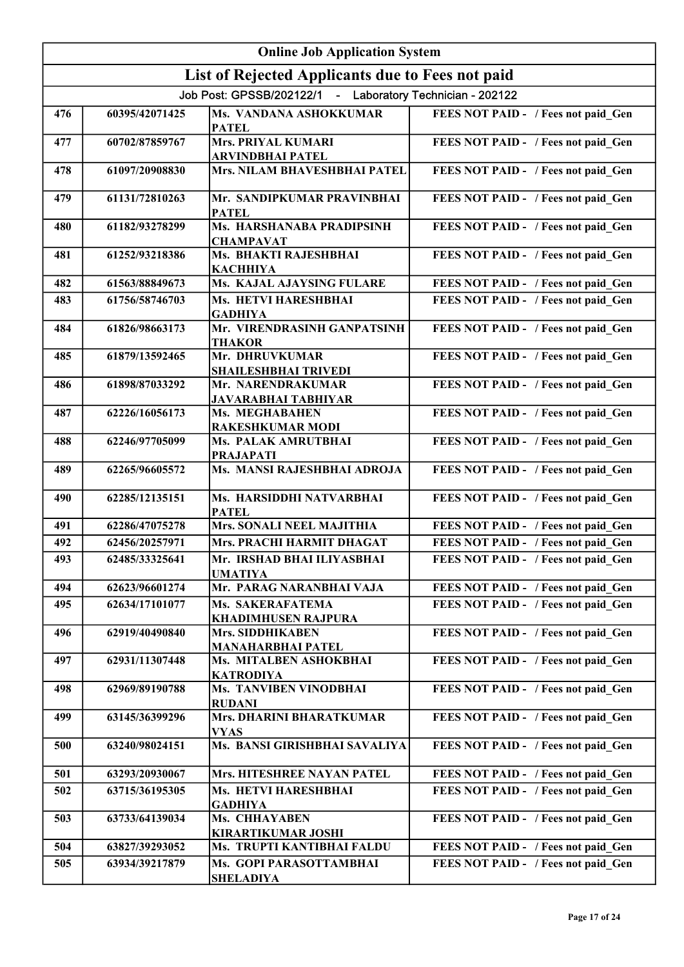| <b>Online Job Application System</b> |                |                                                           |                                     |
|--------------------------------------|----------------|-----------------------------------------------------------|-------------------------------------|
|                                      |                | List of Rejected Applicants due to Fees not paid          |                                     |
|                                      |                | Job Post: GPSSB/202122/1 - Laboratory Technician - 202122 |                                     |
| 476                                  | 60395/42071425 | Ms. VANDANA ASHOKKUMAR<br><b>PATEL</b>                    | FEES NOT PAID - / Fees not paid Gen |
| 477                                  | 60702/87859767 | <b>Mrs. PRIYAL KUMARI</b><br>ARVINDBHAI PATEL             | FEES NOT PAID - / Fees not paid_Gen |
| 478                                  | 61097/20908830 | Mrs. NILAM BHAVESHBHAI PATEL                              | FEES NOT PAID - / Fees not paid_Gen |
| 479                                  | 61131/72810263 | Mr. SANDIPKUMAR PRAVINBHAI<br><b>PATEL</b>                | FEES NOT PAID - / Fees not paid_Gen |
| 480                                  | 61182/93278299 | Ms. HARSHANABA PRADIPSINH<br><b>CHAMPAVAT</b>             | FEES NOT PAID - / Fees not paid_Gen |
| 481                                  | 61252/93218386 | Ms. BHAKTI RAJESHBHAI<br><b>КАСННІҮА</b>                  | FEES NOT PAID - / Fees not paid_Gen |
| 482                                  | 61563/88849673 | <b>Ms. KAJAL AJAYSING FULARE</b>                          | FEES NOT PAID - / Fees not paid Gen |
| 483                                  | 61756/58746703 | Ms. HETVI HARESHBHAI<br><b>GADHIYA</b>                    | FEES NOT PAID - / Fees not paid Gen |
| 484                                  | 61826/98663173 | Mr. VIRENDRASINH GANPATSINH<br><b>THAKOR</b>              | FEES NOT PAID - / Fees not paid Gen |
| 485                                  | 61879/13592465 | Mr. DHRUVKUMAR<br><b>SHAILESHBHAI TRIVEDI</b>             | FEES NOT PAID - / Fees not paid Gen |
| 486                                  | 61898/87033292 | Mr. NARENDRAKUMAR<br><b>JAVARABHAI TABHIYAR</b>           | FEES NOT PAID - / Fees not paid Gen |
| 487                                  | 62226/16056173 | Ms. MEGHABAHEN<br><b>RAKESHKUMAR MODI</b>                 | FEES NOT PAID - / Fees not paid Gen |
| 488                                  | 62246/97705099 | Ms. PALAK AMRUTBHAI<br><b>PRAJAPATI</b>                   | FEES NOT PAID - / Fees not paid Gen |
| 489                                  | 62265/96605572 | Ms. MANSI RAJESHBHAI ADROJA                               | FEES NOT PAID - / Fees not paid Gen |
| 490                                  | 62285/12135151 | Ms. HARSIDDHI NATVARBHAI<br><b>PATEL</b>                  | FEES NOT PAID - / Fees not paid_Gen |
| 491                                  | 62286/47075278 | <b>Mrs. SONALI NEEL MAJITHIA</b>                          | FEES NOT PAID - / Fees not paid Gen |
| 492                                  | 62456/20257971 | Mrs. PRACHI HARMIT DHAGAT                                 | FEES NOT PAID - / Fees not paid Gen |
| 493                                  | 62485/33325641 | Mr. IRSHAD BHAI ILIYASBHAI<br><b>UMATIYA</b>              | FEES NOT PAID - / Fees not paid Gen |
| 494                                  | 62623/96601274 | Mr. PARAG NARANBHAI VAJA                                  | FEES NOT PAID - / Fees not paid Gen |
| 495                                  | 62634/17101077 | Ms. SAKERAFATEMA<br>KHADIMHUSEN RAJPURA                   | FEES NOT PAID - / Fees not paid Gen |
| 496                                  | 62919/40490840 | <b>Mrs. SIDDHIKABEN</b><br><b>MANAHARBHAI PATEL</b>       | FEES NOT PAID - / Fees not paid Gen |
| 497                                  | 62931/11307448 | Ms. MITALBEN ASHOKBHAI<br><b>KATRODIYA</b>                | FEES NOT PAID - / Fees not paid Gen |
| 498                                  | 62969/89190788 | <b>Ms. TANVIBEN VINODBHAI</b><br><b>RUDANI</b>            | FEES NOT PAID - / Fees not paid Gen |
| 499                                  | 63145/36399296 | Mrs. DHARINI BHARATKUMAR<br><b>VYAS</b>                   | FEES NOT PAID - / Fees not paid Gen |
| 500                                  | 63240/98024151 | Ms. BANSI GIRISHBHAI SAVALIYA                             | FEES NOT PAID - / Fees not paid Gen |
| 501                                  | 63293/20930067 | Mrs. HITESHREE NAYAN PATEL                                | FEES NOT PAID - / Fees not paid Gen |
| 502                                  | 63715/36195305 | Ms. HETVI HARESHBHAI<br><b>GADHIYA</b>                    | FEES NOT PAID - / Fees not paid Gen |
| 503                                  | 63733/64139034 | Ms. CHHAYABEN<br>KIRARTIKUMAR JOSHI                       | FEES NOT PAID - / Fees not paid Gen |
| 504                                  | 63827/39293052 | Ms. TRUPTI KANTIBHAI FALDU                                | FEES NOT PAID - / Fees not paid Gen |
| 505                                  | 63934/39217879 | Ms. GOPI PARASOTTAMBHAI<br><b>SHELADIYA</b>               | FEES NOT PAID - / Fees not paid Gen |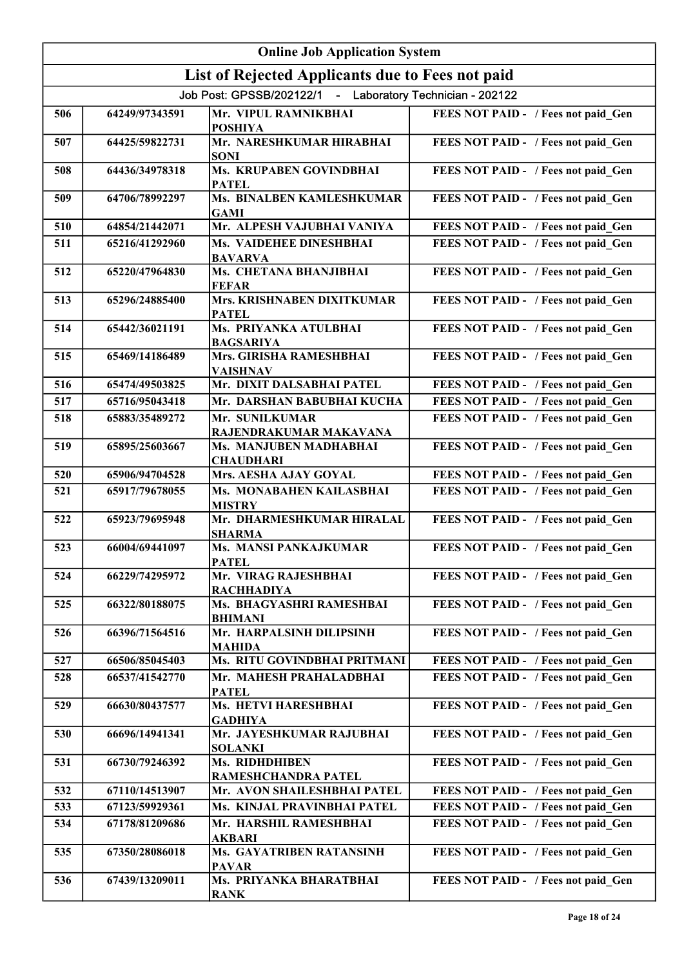|     | <b>Online Job Application System</b> |                                                           |                                     |  |
|-----|--------------------------------------|-----------------------------------------------------------|-------------------------------------|--|
|     |                                      | List of Rejected Applicants due to Fees not paid          |                                     |  |
|     |                                      | Job Post: GPSSB/202122/1 - Laboratory Technician - 202122 |                                     |  |
| 506 | 64249/97343591                       | Mr. VIPUL RAMNIKBHAI<br><b>POSHIYA</b>                    | FEES NOT PAID - / Fees not paid Gen |  |
| 507 | 64425/59822731                       | Mr. NARESHKUMAR HIRABHAI<br><b>SONI</b>                   | FEES NOT PAID - / Fees not paid_Gen |  |
| 508 | 64436/34978318                       | <b>Ms. KRUPABEN GOVINDBHAI</b><br><b>PATEL</b>            | FEES NOT PAID - / Fees not paid_Gen |  |
| 509 | 64706/78992297                       | Ms. BINALBEN KAMLESHKUMAR<br><b>GAMI</b>                  | FEES NOT PAID - / Fees not paid Gen |  |
| 510 | 64854/21442071                       | Mr. ALPESH VAJUBHAI VANIYA                                | FEES NOT PAID - / Fees not paid Gen |  |
| 511 | 65216/41292960                       | Ms. VAIDEHEE DINESHBHAI<br><b>BAVARVA</b>                 | FEES NOT PAID - / Fees not paid Gen |  |
| 512 | 65220/47964830                       | Ms. CHETANA BHANJIBHAI<br><b>FEFAR</b>                    | FEES NOT PAID - / Fees not paid Gen |  |
| 513 | 65296/24885400                       | <b>Mrs. KRISHNABEN DIXITKUMAR</b><br><b>PATEL</b>         | FEES NOT PAID - / Fees not paid_Gen |  |
| 514 | 65442/36021191                       | Ms. PRIYANKA ATULBHAI<br><b>BAGSARIYA</b>                 | FEES NOT PAID - / Fees not paid_Gen |  |
| 515 | 65469/14186489                       | Mrs. GIRISHA RAMESHBHAI<br><b>VAISHNAV</b>                | FEES NOT PAID - / Fees not paid Gen |  |
| 516 | 65474/49503825                       | Mr. DIXIT DALSABHAI PATEL                                 | FEES NOT PAID - / Fees not paid Gen |  |
| 517 | 65716/95043418                       | Mr. DARSHAN BABUBHAI KUCHA                                | FEES NOT PAID - / Fees not paid Gen |  |
| 518 | 65883/35489272                       | Mr. SUNILKUMAR<br>RAJENDRAKUMAR MAKAVANA                  | FEES NOT PAID - / Fees not paid Gen |  |
| 519 | 65895/25603667                       | Ms. MANJUBEN MADHABHAI<br><b>CHAUDHARI</b>                | FEES NOT PAID - / Fees not paid_Gen |  |
| 520 | 65906/94704528                       | Mrs. AESHA AJAY GOYAL                                     | FEES NOT PAID - / Fees not paid Gen |  |
| 521 | 65917/79678055                       | Ms. MONABAHEN KAILASBHAI<br><b>MISTRY</b>                 | FEES NOT PAID - / Fees not paid Gen |  |
| 522 | 65923/79695948                       | Mr. DHARMESHKUMAR HIRALAL<br><b>SHARMA</b>                | FEES NOT PAID - / Fees not paid Gen |  |
| 523 | 66004/69441097                       | <b>Ms. MANSI PANKAJKUMAR</b><br><b>PATEL</b>              | FEES NOT PAID - / Fees not paid Gen |  |
| 524 | 66229/74295972                       | Mr. VIRAG RAJESHBHAI<br><b>RACHHADIYA</b>                 | FEES NOT PAID - / Fees not paid_Gen |  |
| 525 | 66322/80188075                       | Ms. BHAGYASHRI RAMESHBAI<br><b>BHIMANI</b>                | FEES NOT PAID - / Fees not paid_Gen |  |
| 526 | 66396/71564516                       | Mr. HARPALSINH DILIPSINH<br><b>MAHIDA</b>                 | FEES NOT PAID - / Fees not paid Gen |  |
| 527 | 66506/85045403                       | Ms. RITU GOVINDBHAI PRITMANI                              | FEES NOT PAID - / Fees not paid Gen |  |
| 528 | 66537/41542770                       | Mr. MAHESH PRAHALADBHAI<br><b>PATEL</b>                   | FEES NOT PAID - / Fees not paid Gen |  |
| 529 | 66630/80437577                       | Ms. HETVI HARESHBHAI<br><b>GADHIYA</b>                    | FEES NOT PAID - / Fees not paid Gen |  |
| 530 | 66696/14941341                       | Mr. JAYESHKUMAR RAJUBHAI<br><b>SOLANKI</b>                | FEES NOT PAID - / Fees not paid Gen |  |
| 531 | 66730/79246392                       | Ms. RIDHDHIBEN<br>RAMESHCHANDRA PATEL                     | FEES NOT PAID - / Fees not paid Gen |  |
| 532 | 67110/14513907                       | Mr. AVON SHAILESHBHAI PATEL                               | FEES NOT PAID - / Fees not paid Gen |  |
| 533 | 67123/59929361                       | <b>Ms. KINJAL PRAVINBHAI PATEL</b>                        | FEES NOT PAID - / Fees not paid Gen |  |
| 534 | 67178/81209686                       | Mr. HARSHIL RAMESHBHAI<br>AKBARI                          | FEES NOT PAID - / Fees not paid Gen |  |
| 535 | 67350/28086018                       | Ms. GAYATRIBEN RATANSINH<br><b>PAVAR</b>                  | FEES NOT PAID - / Fees not paid_Gen |  |
| 536 | 67439/13209011                       | Ms. PRIYANKA BHARATBHAI<br><b>RANK</b>                    | FEES NOT PAID - / Fees not paid_Gen |  |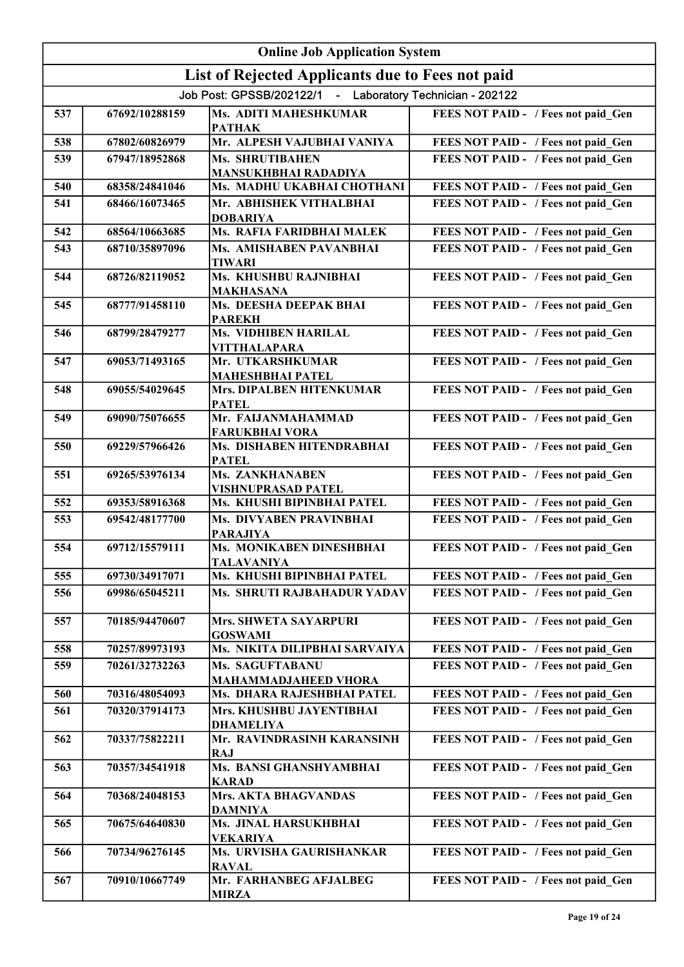|     | <b>Online Job Application System</b> |                                                           |                                     |  |
|-----|--------------------------------------|-----------------------------------------------------------|-------------------------------------|--|
|     |                                      | List of Rejected Applicants due to Fees not paid          |                                     |  |
|     |                                      | Job Post: GPSSB/202122/1 - Laboratory Technician - 202122 |                                     |  |
| 537 | 67692/10288159                       | <b>Ms. ADITI MAHESHKUMAR</b><br><b>PATHAK</b>             | FEES NOT PAID - / Fees not paid Gen |  |
| 538 | 67802/60826979                       | Mr. ALPESH VAJUBHAI VANIYA                                | FEES NOT PAID - / Fees not paid_Gen |  |
| 539 | 67947/18952868                       | Ms. SHRUTIBAHEN<br><b>MANSUKHBHAI RADADIYA</b>            | FEES NOT PAID - / Fees not paid Gen |  |
| 540 | 68358/24841046                       | Ms. MADHU UKABHAI CHOTHANI                                | FEES NOT PAID - / Fees not paid Gen |  |
| 541 | 68466/16073465                       | Mr. ABHISHEK VITHALBHAI<br><b>DOBARIYA</b>                | FEES NOT PAID - / Fees not paid Gen |  |
| 542 | 68564/10663685                       | Ms. RAFIA FARIDBHAI MALEK                                 | FEES NOT PAID - / Fees not paid Gen |  |
| 543 | 68710/35897096                       | Ms. AMISHABEN PAVANBHAI<br><b>TIWARI</b>                  | FEES NOT PAID - / Fees not paid Gen |  |
| 544 | 68726/82119052                       | Ms. KHUSHBU RAJNIBHAI<br><b>MAKHASANA</b>                 | FEES NOT PAID - / Fees not paid Gen |  |
| 545 | 68777/91458110                       | Ms. DEESHA DEEPAK BHAI<br><b>PAREKH</b>                   | FEES NOT PAID - / Fees not paid Gen |  |
| 546 | 68799/28479277                       | <b>Ms. VIDHIBEN HARILAL</b><br><b>VITTHALAPARA</b>        | FEES NOT PAID - / Fees not paid_Gen |  |
| 547 | 69053/71493165                       | Mr. UTKARSHKUMAR<br><b>MAHESHBHAI PATEL</b>               | FEES NOT PAID - / Fees not paid_Gen |  |
| 548 | 69055/54029645                       | <b>Mrs. DIPALBEN HITENKUMAR</b><br><b>PATEL</b>           | FEES NOT PAID - / Fees not paid_Gen |  |
| 549 | 69090/75076655                       | Mr. FAIJANMAHAMMAD<br><b>FARUKBHAI VORA</b>               | FEES NOT PAID - / Fees not paid_Gen |  |
| 550 | 69229/57966426                       | Ms. DISHABEN HITENDRABHAI<br><b>PATEL</b>                 | FEES NOT PAID - / Fees not paid_Gen |  |
| 551 | 69265/53976134                       | Ms. ZANKHANABEN<br><b>VISHNUPRASAD PATEL</b>              | FEES NOT PAID - / Fees not paid_Gen |  |
| 552 | 69353/58916368                       | Ms. KHUSHI BIPINBHAI PATEL                                | FEES NOT PAID - / Fees not paid Gen |  |
| 553 | 69542/48177700                       | Ms. DIVYABEN PRAVINBHAI<br><b>PARAJIYA</b>                | FEES NOT PAID - / Fees not paid Gen |  |
| 554 | 69712/15579111                       | Ms. MONIKABEN DINESHBHAI<br><b>TALAVANIYA</b>             | FEES NOT PAID - / Fees not paid Gen |  |
| 555 | 69730/34917071                       | Ms. KHUSHI BIPINBHAI PATEL                                | FEES NOT PAID - / Fees not paid Gen |  |
| 556 | 69986/65045211                       | Ms. SHRUTI RAJBAHADUR YADAV                               | FEES NOT PAID - / Fees not paid Gen |  |
| 557 | 70185/94470607                       | Mrs. SHWETA SAYARPURI<br><b>GOSWAMI</b>                   | FEES NOT PAID - / Fees not paid Gen |  |
| 558 | 70257/89973193                       | Ms. NIKITA DILIPBHAI SARVAIYA                             | FEES NOT PAID - / Fees not paid Gen |  |
| 559 | 70261/32732263                       | Ms. SAGUFTABANU<br><b>MAHAMMADJAHEED VHORA</b>            | FEES NOT PAID - / Fees not paid Gen |  |
| 560 | 70316/48054093                       | Ms. DHARA RAJESHBHAI PATEL                                | FEES NOT PAID - / Fees not paid Gen |  |
| 561 | 70320/37914173                       | Mrs. KHUSHBU JAYENTIBHAI<br><b>DHAMELIYA</b>              | FEES NOT PAID - / Fees not paid Gen |  |
| 562 | 70337/75822211                       | Mr. RAVINDRASINH KARANSINH<br><b>RAJ</b>                  | FEES NOT PAID - / Fees not paid Gen |  |
| 563 | 70357/34541918                       | Ms. BANSI GHANSHYAMBHAI<br><b>KARAD</b>                   | FEES NOT PAID - / Fees not paid Gen |  |
| 564 | 70368/24048153                       | Mrs. AKTA BHAGVANDAS<br><b>DAMNIYA</b>                    | FEES NOT PAID - / Fees not paid Gen |  |
| 565 | 70675/64640830                       | Ms. JINAL HARSUKHBHAI<br><b>VEKARIYA</b>                  | FEES NOT PAID - / Fees not paid Gen |  |
| 566 | 70734/96276145                       | Ms. URVISHA GAURISHANKAR<br><b>RAVAL</b>                  | FEES NOT PAID - / Fees not paid Gen |  |
| 567 | 70910/10667749                       | Mr. FARHANBEG AFJALBEG<br><b>MIRZA</b>                    | FEES NOT PAID - / Fees not paid Gen |  |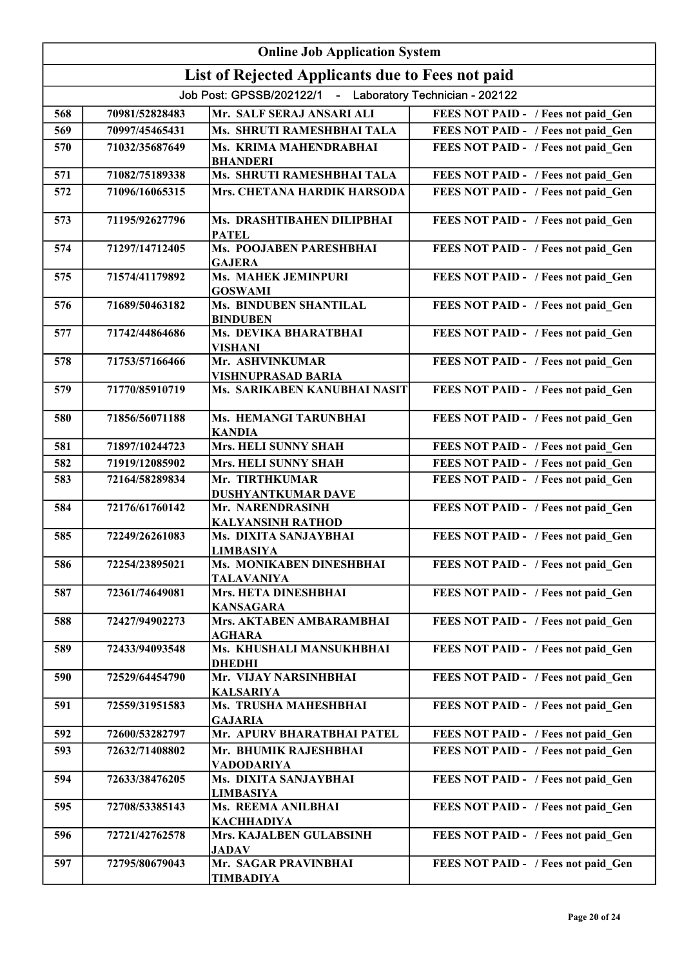|     | <b>Online Job Application System</b> |                                                             |                                     |  |
|-----|--------------------------------------|-------------------------------------------------------------|-------------------------------------|--|
|     |                                      | List of Rejected Applicants due to Fees not paid            |                                     |  |
|     |                                      | Job Post: GPSSB/202122/1 - Laboratory Technician - 202122   |                                     |  |
| 568 | 70981/52828483                       | Mr. SALF SERAJ ANSARI ALI                                   | FEES NOT PAID - / Fees not paid Gen |  |
| 569 | 70997/45465431                       | Ms. SHRUTI RAMESHBHAI TALA                                  | FEES NOT PAID - / Fees not paid Gen |  |
| 570 | 71032/35687649                       | Ms. KRIMA MAHENDRABHAI                                      | FEES NOT PAID - / Fees not paid Gen |  |
|     |                                      | <b>BHANDERI</b>                                             |                                     |  |
| 571 | 71082/75189338                       | Ms. SHRUTI RAMESHBHAI TALA                                  | FEES NOT PAID - / Fees not paid Gen |  |
| 572 | 71096/16065315                       | Mrs. CHETANA HARDIK HARSODA                                 | FEES NOT PAID - / Fees not paid Gen |  |
| 573 | 71195/92627796                       | Ms. DRASHTIBAHEN DILIPBHAI<br><b>PATEL</b>                  | FEES NOT PAID - / Fees not paid Gen |  |
| 574 | 71297/14712405                       | Ms. POOJABEN PARESHBHAI                                     | FEES NOT PAID - / Fees not paid Gen |  |
| 575 | 71574/41179892                       | <b>GAJERA</b><br>Ms. MAHEK JEMINPURI                        | FEES NOT PAID - / Fees not paid Gen |  |
|     |                                      | <b>GOSWAMI</b>                                              |                                     |  |
| 576 | 71689/50463182                       | <b>Ms. BINDUBEN SHANTILAL</b><br><b>BINDUBEN</b>            | FEES NOT PAID - / Fees not paid Gen |  |
| 577 | 71742/44864686                       | Ms. DEVIKA BHARATBHAI<br><b>VISHANI</b>                     | FEES NOT PAID - / Fees not paid Gen |  |
| 578 | 71753/57166466                       | Mr. ASHVINKUMAR<br><b>VISHNUPRASAD BARIA</b>                | FEES NOT PAID - / Fees not paid Gen |  |
| 579 | 71770/85910719                       | Ms. SARIKABEN KANUBHAI NASIT                                | FEES NOT PAID - / Fees not paid_Gen |  |
| 580 | 71856/56071188                       | Ms. HEMANGI TARUNBHAI<br><b>KANDIA</b>                      | FEES NOT PAID - / Fees not paid_Gen |  |
| 581 | 71897/10244723                       | <b>Mrs. HELI SUNNY SHAH</b>                                 | FEES NOT PAID - / Fees not paid Gen |  |
| 582 | 71919/12085902                       | Mrs. HELI SUNNY SHAH                                        | FEES NOT PAID - / Fees not paid Gen |  |
| 583 | 72164/58289834                       | Mr. TIRTHKUMAR<br>DUSHYANTKUMAR DAVE                        | FEES NOT PAID - / Fees not paid_Gen |  |
| 584 | 72176/61760142                       | Mr. NARENDRASINH<br><b>KALYANSINH RATHOD</b>                | FEES NOT PAID - / Fees not paid Gen |  |
| 585 | 72249/26261083                       | Ms. DIXITA SANJAYBHAI                                       | FEES NOT PAID - / Fees not paid Gen |  |
|     |                                      | <b>LIMBASIYA</b>                                            |                                     |  |
| 586 | 72254/23895021                       | Ms. MONIKABEN DINESHBHAI<br><b>TALAVANIYA</b>               | FEES NOT PAID - / Fees not paid Gen |  |
| 587 | 72361/74649081                       | Mrs. HETA DINESHBHAI<br><b>KANSAGARA</b>                    | FEES NOT PAID - / Fees not paid Gen |  |
| 588 | 72427/94902273                       | Mrs. AKTABEN AMBARAMBHAI<br><b>AGHARA</b>                   | FEES NOT PAID - / Fees not paid Gen |  |
| 589 | 72433/94093548                       | Ms. KHUSHALI MANSUKHBHAI<br><b>DHEDHI</b>                   | FEES NOT PAID - / Fees not paid Gen |  |
| 590 | 72529/64454790                       | Mr. VIJAY NARSINHBHAI                                       | FEES NOT PAID - / Fees not paid Gen |  |
| 591 | 72559/31951583                       | <b>KALSARIYA</b><br>Ms. TRUSHA MAHESHBHAI<br><b>GAJARIA</b> | FEES NOT PAID - / Fees not paid Gen |  |
| 592 | 72600/53282797                       | Mr. APURV BHARATBHAI PATEL                                  | FEES NOT PAID - / Fees not paid Gen |  |
| 593 | 72632/71408802                       | Mr. BHUMIK RAJESHBHAI                                       | FEES NOT PAID - / Fees not paid Gen |  |
| 594 | 72633/38476205                       | <b>VADODARIYA</b><br>Ms. DIXITA SANJAYBHAI                  | FEES NOT PAID - / Fees not paid Gen |  |
|     |                                      | <b>LIMBASIYA</b>                                            |                                     |  |
| 595 | 72708/53385143                       | Ms. REEMA ANILBHAI<br><b>KACHHADIYA</b>                     | FEES NOT PAID - / Fees not paid Gen |  |
| 596 | 72721/42762578                       | Mrs. KAJALBEN GULABSINH<br><b>JADAV</b>                     | FEES NOT PAID - / Fees not paid Gen |  |
| 597 | 72795/80679043                       | Mr. SAGAR PRAVINBHAI<br><b>TIMBADIYA</b>                    | FEES NOT PAID - / Fees not paid Gen |  |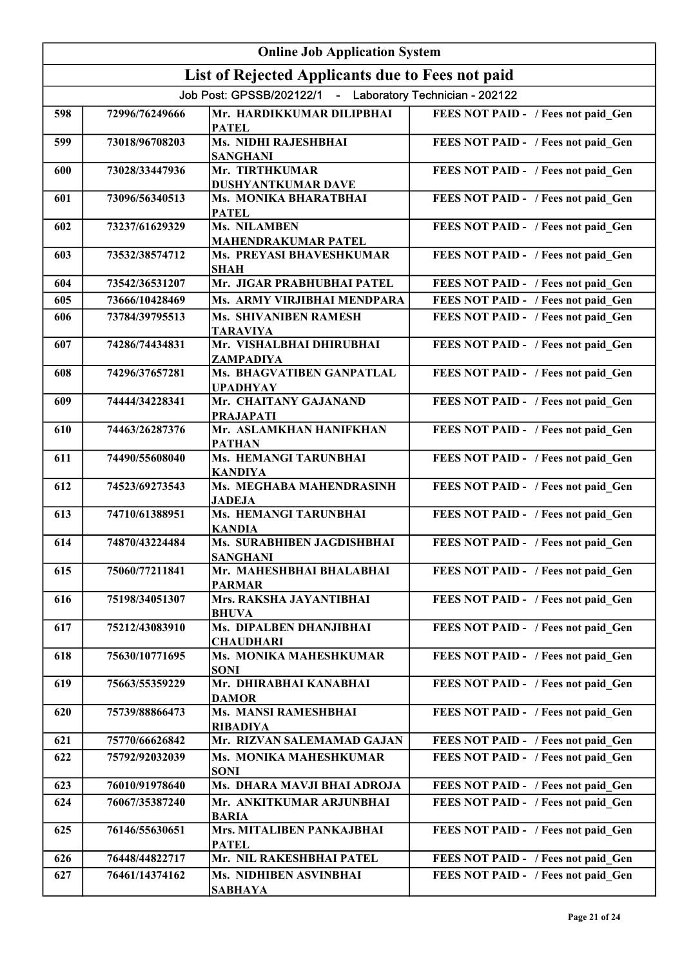| <b>Online Job Application System</b> |                |                                                           |                                     |
|--------------------------------------|----------------|-----------------------------------------------------------|-------------------------------------|
|                                      |                | List of Rejected Applicants due to Fees not paid          |                                     |
|                                      |                | Job Post: GPSSB/202122/1 - Laboratory Technician - 202122 |                                     |
| 598                                  | 72996/76249666 | Mr. HARDIKKUMAR DILIPBHAI<br><b>PATEL</b>                 | FEES NOT PAID - / Fees not paid Gen |
| 599                                  | 73018/96708203 | Ms. NIDHI RAJESHBHAI<br><b>SANGHANI</b>                   | FEES NOT PAID - / Fees not paid Gen |
| 600                                  | 73028/33447936 | Mr. TIRTHKUMAR<br>DUSHYANTKUMAR DAVE                      | FEES NOT PAID - / Fees not paid_Gen |
| 601                                  | 73096/56340513 | Ms. MONIKA BHARATBHAI<br><b>PATEL</b>                     | FEES NOT PAID - / Fees not paid_Gen |
| 602                                  | 73237/61629329 | Ms. NILAMBEN<br><b>MAHENDRAKUMAR PATEL</b>                | FEES NOT PAID - / Fees not paid_Gen |
| 603                                  | 73532/38574712 | Ms. PREYASI BHAVESHKUMAR<br><b>SHAH</b>                   | FEES NOT PAID - / Fees not paid_Gen |
| 604                                  | 73542/36531207 | Mr. JIGAR PRABHUBHAI PATEL                                | FEES NOT PAID - / Fees not paid Gen |
| 605                                  | 73666/10428469 | Ms. ARMY VIRJIBHAI MENDPARA                               | FEES NOT PAID - / Fees not paid Gen |
| 606                                  | 73784/39795513 | Ms. SHIVANIBEN RAMESH<br><b>TARAVIYA</b>                  | FEES NOT PAID - / Fees not paid Gen |
| 607                                  | 74286/74434831 | Mr. VISHALBHAI DHIRUBHAI<br>ZAMPADIYA                     | FEES NOT PAID - / Fees not paid Gen |
| 608                                  | 74296/37657281 | Ms. BHAGVATIBEN GANPATLAL<br><b>UPADHYAY</b>              | FEES NOT PAID - / Fees not paid Gen |
| 609                                  | 74444/34228341 | Mr. CHAITANY GAJANAND<br><b>PRAJAPATI</b>                 | FEES NOT PAID - / Fees not paid Gen |
| 610                                  | 74463/26287376 | Mr. ASLAMKHAN HANIFKHAN<br><b>PATHAN</b>                  | FEES NOT PAID - / Fees not paid_Gen |
| 611                                  | 74490/55608040 | Ms. HEMANGI TARUNBHAI<br><b>KANDIYA</b>                   | FEES NOT PAID - / Fees not paid_Gen |
| 612                                  | 74523/69273543 | Ms. MEGHABA MAHENDRASINH<br><b>JADEJA</b>                 | FEES NOT PAID - / Fees not paid_Gen |
| 613                                  | 74710/61388951 | Ms. HEMANGI TARUNBHAI<br><b>KANDIA</b>                    | FEES NOT PAID - / Fees not paid Gen |
| 614                                  | 74870/43224484 | Ms. SURABHIBEN JAGDISHBHAI<br><b>SANGHANI</b>             | FEES NOT PAID - / Fees not paid Gen |
| 615                                  | 75060/77211841 | Mr. MAHESHBHAI BHALABHAI<br><b>PARMAR</b>                 | FEES NOT PAID - / Fees not paid Gen |
| 616                                  | 75198/34051307 | Mrs. RAKSHA JAYANTIBHAI<br>BHUVA                          | FEES NOT PAID - / Fees not paid Gen |
| 617                                  | 75212/43083910 | Ms. DIPALBEN DHANJIBHAI<br><b>CHAUDHARI</b>               | FEES NOT PAID - / Fees not paid Gen |
| 618                                  | 75630/10771695 | Ms. MONIKA MAHESHKUMAR<br>SONI                            | FEES NOT PAID - / Fees not paid Gen |
| 619                                  | 75663/55359229 | Mr. DHIRABHAI KANABHAI<br><b>DAMOR</b>                    | FEES NOT PAID - / Fees not paid Gen |
| 620                                  | 75739/88866473 | Ms. MANSI RAMESHBHAI<br><b>RIBADIYA</b>                   | FEES NOT PAID - / Fees not paid Gen |
| 621                                  | 75770/66626842 | Mr. RIZVAN SALEMAMAD GAJAN                                | FEES NOT PAID - / Fees not paid Gen |
| 622                                  | 75792/92032039 | Ms. MONIKA MAHESHKUMAR<br><b>SONI</b>                     | FEES NOT PAID - / Fees not paid Gen |
| 623                                  | 76010/91978640 | Ms. DHARA MAVJI BHAI ADROJA                               | FEES NOT PAID - / Fees not paid Gen |
| 624                                  | 76067/35387240 | Mr. ANKITKUMAR ARJUNBHAI<br><b>BARIA</b>                  | FEES NOT PAID - / Fees not paid Gen |
| 625                                  | 76146/55630651 | Mrs. MITALIBEN PANKAJBHAI<br><b>PATEL</b>                 | FEES NOT PAID - / Fees not paid Gen |
| 626                                  | 76448/44822717 | Mr. NIL RAKESHBHAI PATEL                                  | FEES NOT PAID - / Fees not paid Gen |
| 627                                  | 76461/14374162 | Ms. NIDHIBEN ASVINBHAI<br>SABHAYA                         | FEES NOT PAID - / Fees not paid Gen |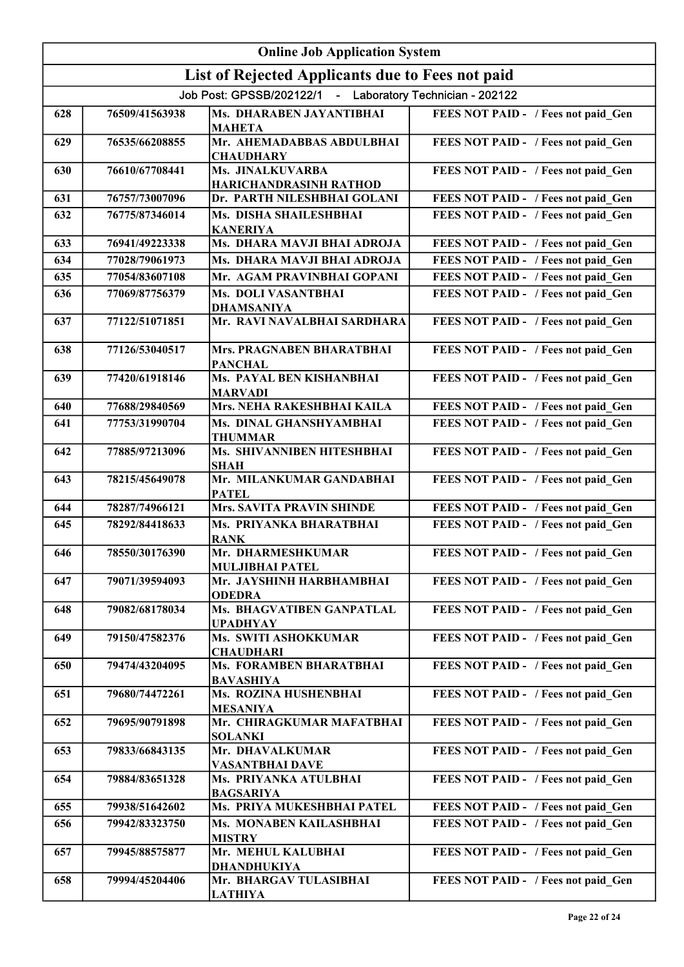| <b>Online Job Application System</b> |                |                                                           |                                     |
|--------------------------------------|----------------|-----------------------------------------------------------|-------------------------------------|
|                                      |                | List of Rejected Applicants due to Fees not paid          |                                     |
|                                      |                | Job Post: GPSSB/202122/1 - Laboratory Technician - 202122 |                                     |
| 628                                  | 76509/41563938 | Ms. DHARABEN JAYANTIBHAI<br><b>MAHETA</b>                 | FEES NOT PAID - / Fees not paid Gen |
| 629                                  | 76535/66208855 | Mr. AHEMADABBAS ABDULBHAI<br><b>CHAUDHARY</b>             | FEES NOT PAID - / Fees not paid_Gen |
| 630                                  | 76610/67708441 | Ms. JINALKUVARBA<br>HARICHANDRASINH RATHOD                | FEES NOT PAID - / Fees not paid Gen |
| 631                                  | 76757/73007096 | Dr. PARTH NILESHBHAI GOLANI                               | FEES NOT PAID - / Fees not paid Gen |
| 632                                  | 76775/87346014 | Ms. DISHA SHAILESHBHAI<br><b>KANERIYA</b>                 | FEES NOT PAID - / Fees not paid Gen |
| 633                                  | 76941/49223338 | Ms. DHARA MAVJI BHAI ADROJA                               | FEES NOT PAID - / Fees not paid Gen |
| 634                                  | 77028/79061973 | Ms. DHARA MAVJI BHAI ADROJA                               | FEES NOT PAID - / Fees not paid Gen |
| 635                                  | 77054/83607108 | Mr. AGAM PRAVINBHAI GOPANI                                | FEES NOT PAID - / Fees not paid Gen |
| 636                                  | 77069/87756379 | Ms. DOLI VASANTBHAI<br><b>DHAMSANIYA</b>                  | FEES NOT PAID - / Fees not paid Gen |
| 637                                  | 77122/51071851 | Mr. RAVI NAVALBHAI SARDHARA                               | FEES NOT PAID - / Fees not paid Gen |
| 638                                  | 77126/53040517 | Mrs. PRAGNABEN BHARATBHAI<br><b>PANCHAL</b>               | FEES NOT PAID - / Fees not paid_Gen |
| 639                                  | 77420/61918146 | <b>Ms. PAYAL BEN KISHANBHAI</b><br><b>MARVADI</b>         | FEES NOT PAID - / Fees not paid_Gen |
| 640                                  | 77688/29840569 | Mrs. NEHA RAKESHBHAI KAILA                                | FEES NOT PAID - / Fees not paid Gen |
| 641                                  | 77753/31990704 | Ms. DINAL GHANSHYAMBHAI<br><b>THUMMAR</b>                 | FEES NOT PAID - / Fees not paid Gen |
| 642                                  | 77885/97213096 | <b>Ms. SHIVANNIBEN HITESHBHAI</b><br><b>SHAH</b>          | FEES NOT PAID - / Fees not paid Gen |
| 643                                  | 78215/45649078 | Mr. MILANKUMAR GANDABHAI<br><b>PATEL</b>                  | FEES NOT PAID - / Fees not paid Gen |
| 644                                  | 78287/74966121 | <b>Mrs. SAVITA PRAVIN SHINDE</b>                          | FEES NOT PAID - / Fees not paid Gen |
| 645                                  | 78292/84418633 | Ms. PRIYANKA BHARATBHAI<br><b>RANK</b>                    | FEES NOT PAID - / Fees not paid Gen |
| 646                                  | 78550/30176390 | Mr. DHARMESHKUMAR<br><b>MULJIBHAI PATEL</b>               | FEES NOT PAID - / Fees not paid_Gen |
| 647                                  | 79071/39594093 | Mr. JAYSHINH HARBHAMBHAI<br><b>ODEDRA</b>                 | FEES NOT PAID - / Fees not paid Gen |
| 648                                  | 79082/68178034 | Ms. BHAGVATIBEN GANPATLAL<br><b>UPADHYAY</b>              | FEES NOT PAID - / Fees not paid Gen |
| 649                                  | 79150/47582376 | Ms. SWITI ASHOKKUMAR<br><b>CHAUDHARI</b>                  | FEES NOT PAID - / Fees not paid Gen |
| 650                                  | 79474/43204095 | Ms. FORAMBEN BHARATBHAI<br><b>BAVASHIYA</b>               | FEES NOT PAID - / Fees not paid Gen |
| 651                                  | 79680/74472261 | Ms. ROZINA HUSHENBHAI<br><b>MESANIYA</b>                  | FEES NOT PAID - / Fees not paid Gen |
| 652                                  | 79695/90791898 | Mr. CHIRAGKUMAR MAFATBHAI<br><b>SOLANKI</b>               | FEES NOT PAID - / Fees not paid Gen |
| 653                                  | 79833/66843135 | Mr. DHAVALKUMAR<br><b>VASANTBHAI DAVE</b>                 | FEES NOT PAID - / Fees not paid Gen |
| 654                                  | 79884/83651328 | Ms. PRIYANKA ATULBHAI<br><b>BAGSARIYA</b>                 | FEES NOT PAID - / Fees not paid Gen |
| 655                                  | 79938/51642602 | Ms. PRIYA MUKESHBHAI PATEL                                | FEES NOT PAID - / Fees not paid Gen |
| 656                                  | 79942/83323750 | Ms. MONABEN KAILASHBHAI<br><b>MISTRY</b>                  | FEES NOT PAID - / Fees not paid Gen |
| 657                                  | 79945/88575877 | Mr. MEHUL KALUBHAI<br><b>DHANDHUKIYA</b>                  | FEES NOT PAID - / Fees not paid Gen |
| 658                                  | 79994/45204406 | Mr. BHARGAV TULASIBHAI<br><b>LATHIYA</b>                  | FEES NOT PAID - / Fees not paid Gen |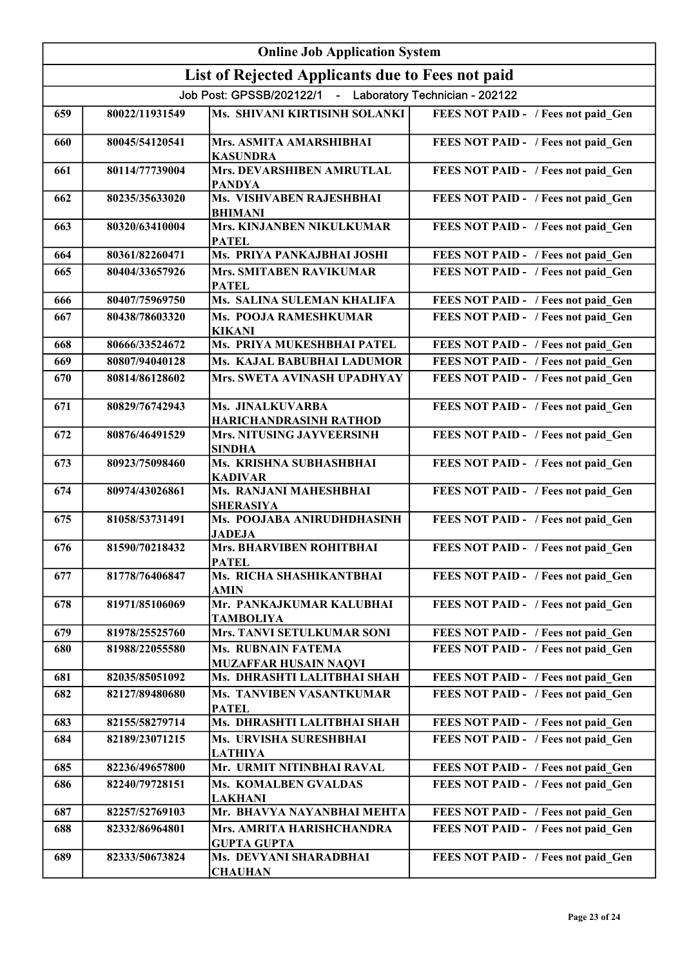|     | <b>Online Job Application System</b> |                                                           |                                     |  |
|-----|--------------------------------------|-----------------------------------------------------------|-------------------------------------|--|
|     |                                      | List of Rejected Applicants due to Fees not paid          |                                     |  |
|     |                                      | Job Post: GPSSB/202122/1 - Laboratory Technician - 202122 |                                     |  |
| 659 | 80022/11931549                       | Ms. SHIVANI KIRTISINH SOLANKI                             | FEES NOT PAID - / Fees not paid_Gen |  |
| 660 | 80045/54120541                       | Mrs. ASMITA AMARSHIBHAI<br><b>KASUNDRA</b>                | FEES NOT PAID - / Fees not paid_Gen |  |
| 661 | 80114/77739004                       | <b>Mrs. DEVARSHIBEN AMRUTLAL</b><br><b>PANDYA</b>         | FEES NOT PAID - / Fees not paid_Gen |  |
| 662 | 80235/35633020                       | Ms. VISHVABEN RAJESHBHAI<br><b>BHIMANI</b>                | FEES NOT PAID - / Fees not paid_Gen |  |
| 663 | 80320/63410004                       | Mrs. KINJANBEN NIKULKUMAR<br><b>PATEL</b>                 | FEES NOT PAID - / Fees not paid_Gen |  |
| 664 | 80361/82260471                       | Ms. PRIYA PANKAJBHAI JOSHI                                | FEES NOT PAID - / Fees not paid_Gen |  |
| 665 | 80404/33657926                       | Mrs. SMITABEN RAVIKUMAR<br><b>PATEL</b>                   | FEES NOT PAID - / Fees not paid Gen |  |
| 666 | 80407/75969750                       | Ms. SALINA SULEMAN KHALIFA                                | FEES NOT PAID - / Fees not paid Gen |  |
| 667 | 80438/78603320                       | Ms. POOJA RAMESHKUMAR<br><b>KIKANI</b>                    | FEES NOT PAID - / Fees not paid Gen |  |
| 668 | 80666/33524672                       | Ms. PRIYA MUKESHBHAI PATEL                                | FEES NOT PAID - / Fees not paid_Gen |  |
| 669 | 80807/94040128                       | Ms. KAJAL BABUBHAI LADUMOR                                | FEES NOT PAID - / Fees not paid Gen |  |
| 670 | 80814/86128602                       | Mrs. SWETA AVINASH UPADHYAY                               | FEES NOT PAID - / Fees not paid_Gen |  |
| 671 | 80829/76742943                       | Ms. JINALKUVARBA<br>HARICHANDRASINH RATHOD                | FEES NOT PAID - / Fees not paid_Gen |  |
| 672 | 80876/46491529                       | Mrs. NITUSING JAYVEERSINH<br><b>SINDHA</b>                | FEES NOT PAID - / Fees not paid_Gen |  |
| 673 | 80923/75098460                       | Ms. KRISHNA SUBHASHBHAI<br><b>KADIVAR</b>                 | FEES NOT PAID - / Fees not paid_Gen |  |
| 674 | 80974/43026861                       | Ms. RANJANI MAHESHBHAI<br><b>SHERASIYA</b>                | FEES NOT PAID - / Fees not paid Gen |  |
| 675 | 81058/53731491                       | Ms. POOJABA ANIRUDHDHASINH<br><b>JADEJA</b>               | FEES NOT PAID - / Fees not paid Gen |  |
| 676 | 81590/70218432                       | Mrs. BHARVIBEN ROHITBHAI<br><b>PATEL</b>                  | FEES NOT PAID - / Fees not paid Gen |  |
| 677 | 81778/76406847                       | Ms. RICHA SHASHIKANTBHAI<br><b>AMIN</b>                   | FEES NOT PAID - / Fees not paid Gen |  |
| 678 | 81971/85106069                       | Mr. PANKAJKUMAR KALUBHAI<br><b>TAMBOLIYA</b>              | FEES NOT PAID - / Fees not paid Gen |  |
| 679 | 81978/25525760                       | Mrs. TANVI SETULKUMAR SONI                                | FEES NOT PAID - / Fees not paid Gen |  |
| 680 | 81988/22055580                       | <b>Ms. RUBNAIN FATEMA</b><br><b>MUZAFFAR HUSAIN NAQVI</b> | FEES NOT PAID - / Fees not paid Gen |  |
| 681 | 82035/85051092                       | Ms. DHRASHTI LALITBHAI SHAH                               | FEES NOT PAID - / Fees not paid Gen |  |
| 682 | 82127/89480680                       | <b>Ms. TANVIBEN VASANTKUMAR</b><br><b>PATEL</b>           | FEES NOT PAID - / Fees not paid Gen |  |
| 683 | 82155/58279714                       | Ms. DHRASHTI LALITBHAI SHAH                               | FEES NOT PAID - / Fees not paid Gen |  |
| 684 | 82189/23071215                       | Ms. URVISHA SURESHBHAI<br><b>LATHIYA</b>                  | FEES NOT PAID - / Fees not paid Gen |  |
| 685 | 82236/49657800                       | Mr. URMIT NITINBHAI RAVAL                                 | FEES NOT PAID - / Fees not paid Gen |  |
| 686 | 82240/79728151                       | <b>Ms. KOMALBEN GVALDAS</b><br><b>LAKHANI</b>             | FEES NOT PAID - / Fees not paid Gen |  |
| 687 | 82257/52769103                       | Mr. BHAVYA NAYANBHAI MEHTA                                | FEES NOT PAID - / Fees not paid Gen |  |
| 688 | 82332/86964801                       | Mrs. AMRITA HARISHCHANDRA<br><b>GUPTA GUPTA</b>           | FEES NOT PAID - / Fees not paid Gen |  |
| 689 | 82333/50673824                       | Ms. DEVYANI SHARADBHAI<br><b>CHAUHAN</b>                  | FEES NOT PAID - / Fees not paid Gen |  |